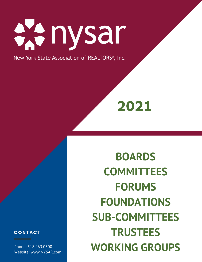

New York State Association of REALTORS®, Inc.

**2021**

**COMMITTEES FORUMS FOUNDATIONS SUB-COMMITTEES TRUSTEES WORKING GROUPS**

**BOARDS** 

## **CONTACT**

Phone: 518.463.0300 Website: www.NYSAR.com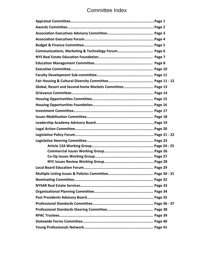# Committee Index

| Global, Resort and Second-home Markets Committee Page 13 |  |
|----------------------------------------------------------|--|
|                                                          |  |
|                                                          |  |
|                                                          |  |
|                                                          |  |
|                                                          |  |
|                                                          |  |
|                                                          |  |
|                                                          |  |
|                                                          |  |
|                                                          |  |
|                                                          |  |
|                                                          |  |
|                                                          |  |
|                                                          |  |
|                                                          |  |
|                                                          |  |
|                                                          |  |
|                                                          |  |
|                                                          |  |
|                                                          |  |
|                                                          |  |
|                                                          |  |
|                                                          |  |
|                                                          |  |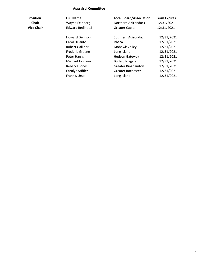### **Appraisal Committee**

| Position          |  |
|-------------------|--|
| Chair             |  |
| <b>Vice Chair</b> |  |

| <b>Position</b> | <b>Full Name</b>        | <b>Local Board/Association</b> | <b>Term Expires</b> |
|-----------------|-------------------------|--------------------------------|---------------------|
| Chair           | Wayne Feinberg          | Northern Adirondack            | 12/31/2021          |
| Vice Chair      | <b>Edward Bedinotti</b> | <b>Greater Capital</b>         | 12/31/2021          |
|                 | <b>Howard Denison</b>   | Southern Adirondack            | 12/31/2021          |
|                 | Carol DiSanto           | Ithaca                         | 12/31/2021          |
|                 | Robert Galliher         | Mohawk Valley                  | 12/31/2021          |
|                 | <b>Frederic Greene</b>  | Long Island                    | 12/31/2021          |
|                 | Peter Harris            | <b>Hudson Gateway</b>          | 12/31/2021          |
|                 | Michael Johnson         | <b>Buffalo Niagara</b>         | 12/31/2021          |
|                 | Rebecca Jones           | <b>Greater Binghamton</b>      | 12/31/2021          |
|                 | Carolyn Stiffler        | <b>Greater Rochester</b>       | 12/31/2021          |
|                 | Frank S Urso            | Long Island                    | 12/31/2021          |
|                 |                         |                                |                     |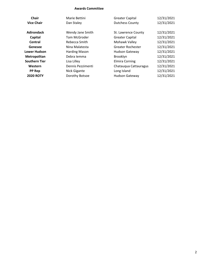#### **Awards Committee**

| <b>Chair</b>         | Marie Bettini        | <b>Greater Capital</b>   | 12/31/2021 |
|----------------------|----------------------|--------------------------|------------|
| <b>Vice Chair</b>    | Dan Staley           | <b>Dutchess County</b>   | 12/31/2021 |
| <b>Adirondack</b>    | Wendy Jane Smith     | St. Lawrence County      | 12/31/2021 |
| Capital              | Tom McGroder         | <b>Greater Capital</b>   | 12/31/2021 |
| Central              | Rebecca Smith        | Mohawk Valley            | 12/31/2021 |
| Genesee              | Nina Malatesta       | <b>Greater Rochester</b> | 12/31/2021 |
| <b>Lower Hudson</b>  | <b>Harding Mason</b> | <b>Hudson Gateway</b>    | 12/31/2021 |
| Metropolitan         | Debra lemma          | Brooklyn                 | 12/31/2021 |
| <b>Southern Tier</b> | Lisa Lilley          | <b>Elmira Corning</b>    | 12/31/2021 |
| Western              | Dennis Pezzimenti    | Chatauqua Cattauragus    | 12/31/2021 |
| <b>PP Rep</b>        | Nick Gigante         | Long Island              | 12/31/2021 |
| <b>2020 ROTY</b>     | Dorothy Botsoe       | <b>Hudson Gateway</b>    | 12/31/2021 |
|                      |                      |                          |            |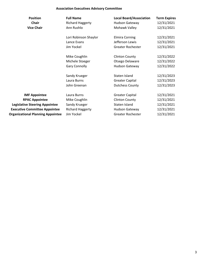### **Association Executives Advisory Committee**

| <b>Position</b>                          | <b>Full Name</b>        | <b>Local Board/Association</b> | <b>Term Expires</b> |
|------------------------------------------|-------------------------|--------------------------------|---------------------|
| <b>Chair</b>                             | <b>Richard Haggerty</b> | Hudson Gateway                 | 12/31/2021          |
| <b>Vice Chair</b>                        | Ann Rushlo              | Mohawk Valley                  | 12/31/2021          |
|                                          | Lori Robinson Shaylor   | <b>Elmira Corning</b>          | 12/31/2021          |
|                                          | Lance Evans             | Jefferson Lewis                | 12/31/2021          |
|                                          | Jim Yockel              | <b>Greater Rochester</b>       | 12/31/2021          |
|                                          | Mike Coughlin           | <b>Clinton County</b>          | 12/31/2022          |
|                                          | Michele Stoeger         | Otsego Delaware                | 12/31/2022          |
|                                          | <b>Gary Connolly</b>    | <b>Hudson Gateway</b>          | 12/31/2022          |
|                                          | Sandy Krueger           | Staten Island                  | 12/31/2023          |
|                                          | Laura Burns             | <b>Greater Capital</b>         | 12/31/2023          |
|                                          | John Greenan            | <b>Dutchess County</b>         | 12/31/2023          |
| <b>IMF Appointee</b>                     | Laura Burns             | <b>Greater Capital</b>         | 12/31/2021          |
| <b>RPAC Appointee</b>                    | Mike Coughlin           | <b>Clinton County</b>          | 12/31/2021          |
| <b>Legislative Steering Appointee</b>    | Sandy Krueger           | Staten Island                  | 12/31/2021          |
| <b>Executive Committee Appointee</b>     | <b>Richard Haggerty</b> | <b>Hudson Gateway</b>          | 12/31/2021          |
| <b>Organizational Planning Appointee</b> | Jim Yockel              | <b>Greater Rochester</b>       | 12/31/2021          |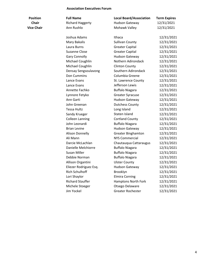#### **Association Executives Forum**

| <b>Position</b>   | <b>Full Name</b>        | <b>Local Board/Association</b> | <b>Term Expires</b> |
|-------------------|-------------------------|--------------------------------|---------------------|
| Chair             | <b>Richard Haggerty</b> | Hudson Gateway                 | 12/31/2021          |
| <b>Vice Chair</b> | Ann Rushlo              | Mohawk Valley                  | 12/31/2021          |
|                   | Joshua Adams            | Ithaca                         | 12/31/2021          |
|                   | <b>Mary Bakalis</b>     | <b>Sullivan County</b>         | 12/31/2021          |
|                   | Laura Burns             | <b>Greater Capital</b>         | 12/31/2021          |
|                   | Suzanne Close           | <b>Greater Capital</b>         | 12/31/2021          |
|                   | <b>Gary Connolly</b>    | Hudson Gateway                 | 12/31/2021          |
|                   | Michael Coughlin        | Nothern Adirondack             | 12/31/2021          |
|                   | Michael Coughlin        | <b>Clinton County</b>          | 12/31/2021          |
|                   | Densay Sengsoulavong    | Southern Adirondack            | 12/31/2021          |
|                   | Don Cummins             | Columbia Greene                | 12/31/2021          |
|                   | Lance Evans             | St. Lawrence County            | 12/31/2021          |
|                   | Lance Evans             | Jefferson Lewis                | 12/31/2021          |
|                   | Annette Fachko          | <b>Buffalo Niagara</b>         | 12/31/2021          |
|                   | Lynnore Fetyko          | <b>Greater Syracuse</b>        | 12/31/2021          |
|                   | Ann Garti               | Hudson Gateway                 | 12/31/2021          |
|                   | John Greenan            | <b>Dutchess County</b>         | 12/31/2021          |
|                   | <b>Tessa Hultz</b>      | Long Island                    | 12/31/2021          |
|                   | Sandy Krueger           | Staten Island                  | 12/31/2021          |
|                   | <b>Colleen Lanning</b>  | <b>Cortland County</b>         | 12/31/2021          |
|                   | John Leonardi           | <b>Buffalo Niagara</b>         | 12/31/2021          |
|                   | <b>Brian Levine</b>     | <b>Hudson Gateway</b>          | 12/31/2021          |
|                   | <b>Alison Donnelly</b>  | <b>Greater Binghamton</b>      | 12/31/2021          |
|                   | Ali Mann                | <b>NYS Commercial</b>          | 12/31/2021          |
|                   | Darcie McLachlan        | Chautauqua Cattaraugus         | 12/31/2021          |
|                   | Danielle Melchiorre     | <b>Buffalo Niagara</b>         | 12/31/2021          |
|                   | Susan Miller            | <b>Buffalo Niagara</b>         | 12/31/2021          |
|                   | Debbie Norman           | <b>Buffalo Niagara</b>         | 12/31/2021          |
|                   | Allison Organtini       | <b>Ulster County</b>           | 12/31/2021          |
|                   | Eliezer Rodriguez Esq.  | <b>Hudson Gateway</b>          | 12/31/2021          |
|                   | <b>Rich Schulhoff</b>   | Brooklyn                       | 12/31/2021          |
|                   | Lori Shaylor            | <b>Elmira Corning</b>          | 12/31/2021          |
|                   | <b>Richard Stauffer</b> | Hamptons North Fork            | 12/31/2021          |
|                   | Michele Stoeger         | Otsego Delaware                | 12/31/2021          |
|                   | Jim Yockel              | Greater Rochester              | 12/31/2021          |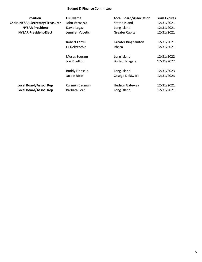### **Budget & Finance Committee**

| <b>Position</b>                         | <b>Full Name</b>     | <b>Local Board/Association</b> | <b>Term Expires</b> |
|-----------------------------------------|----------------------|--------------------------------|---------------------|
| <b>Chair, NYSAR Secretary/Treasurer</b> | John Vernazza        | Staten Island                  | 12/31/2021          |
| <b>NYSAR President</b>                  | David Legaz          | Long Island                    | 12/31/2021          |
| <b>NYSAR President-Elect</b>            | Jennifer Vucetic     | <b>Greater Capital</b>         | 12/31/2021          |
|                                         | Robert Farrell       | <b>Greater Binghamton</b>      | 12/31/2021          |
|                                         | CJ DelVecchio        | Ithaca                         | 12/31/2021          |
|                                         | Moses Seuram         | Long Island                    | 12/31/2022          |
|                                         | Joe Rivellino        | <b>Buffalo Niagara</b>         | 12/31/2022          |
|                                         | <b>Buddy Hoosein</b> | Long Island                    | 12/31/2023          |
|                                         | Jacqie Rose          | Otsego Delaware                | 12/31/2023          |
| Local Board/Assoc. Rep                  | Carmen Bauman        | Hudson Gateway                 | 12/31/2021          |
| Local Board/Assoc. Rep                  | Barbara Ford         | Long Island                    | 12/31/2021          |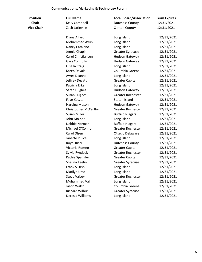#### **Communications, Marketing & Technology Forum**

| Position          | <b>Full Name</b>            | <b>Local Board/Association</b> | <b>Term Expires</b> |
|-------------------|-----------------------------|--------------------------------|---------------------|
| <b>Chair</b>      | Kelly Campbell              | <b>Dutchess County</b>         | 12/31/2021          |
| <b>lice Chair</b> | Zach Latinville             | <b>Clinton County</b>          | 12/31/2021          |
|                   | Diana Alfaro                | Long Island                    | 12/31/2021          |
|                   | Mohammad Ayub               | Long Island                    | 12/31/2021          |
|                   | Nancy Catalano              | Long Island                    | 12/31/2021          |
|                   | Jennie Chapin               | <b>Greater Syracuse</b>        | 12/31/2021          |
|                   | Carol Christiansen          | Hudson Gateway                 | 12/31/2021          |
|                   | <b>Gary Connolly</b>        | <b>Hudson Gateway</b>          | 12/31/2021          |
|                   | Gisella Craig               | Long Island                    | 12/31/2021          |
|                   | Karen Davala                | Columbia Greene                | 12/31/2021          |
|                   | Ayres Dcunha                | Long Island                    | 12/31/2021          |
|                   | Jeffrey Decatur             | <b>Greater Capital</b>         | 12/31/2021          |
|                   | Patricia Erker              | Long Island                    | 12/31/2021          |
|                   | Sarah Hughes                | Hudson Gateway                 | 12/31/2021          |
|                   | <b>Susan Hughes</b>         | <b>Greater Rochester</b>       | 12/31/2021          |
|                   | Faye Koszta                 | Staten Island                  | 12/31/2021          |
|                   | <b>Harding Mason</b>        | <b>Hudson Gateway</b>          | 12/31/2021          |
|                   | <b>Christopher McCarthy</b> | <b>Greater Rochester</b>       | 12/31/2021          |
|                   | Susan Miller                | <b>Buffalo Niagara</b>         | 12/31/2021          |
|                   | John Molnar                 | Long Island                    | 12/31/2021          |
|                   | Debbie Norman               | <b>Buffalo Niagara</b>         | 12/31/2021          |
|                   | Michael O'Connor            | <b>Greater Rochester</b>       | 12/31/2021          |
|                   | Carol Olsen                 | Otsego Delaware                | 12/31/2021          |
|                   | Janette Pulice              | Long Island                    | 12/31/2021          |
|                   | Royal Ricci                 | <b>Dutchess County</b>         | 12/31/2021          |
|                   | Victoria Romeo              | <b>Greater Capital</b>         | 12/31/2021          |
|                   | Sylvia Ryndock              | <b>Greater Rochester</b>       | 12/31/2021          |
|                   | Kathie Spangler             | <b>Greater Capital</b>         | 12/31/2021          |
|                   | Shauna Teelin               | <b>Greater Syracuse</b>        | 12/31/2021          |
|                   | Frank S Urso                | Long Island                    | 12/31/2021          |
|                   | Marilyn Urso                | Long Island                    | 12/31/2021          |
|                   | <b>Steve Vaisey</b>         | <b>Greater Rochester</b>       | 12/31/2021          |
|                   | Muhammad Vali               | Long Island                    | 12/31/2021          |
|                   | Jason Walch                 | Columbia Greene                | 12/31/2021          |
|                   | <b>Richard Wilbur</b>       | Greater Syracuse               | 12/31/2021          |
|                   | Deresia Williams            | Long Island                    | 12/31/2021          |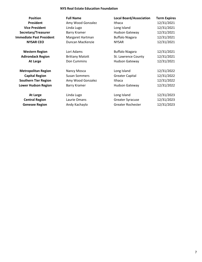#### **NYS Real Estate Education Foundation**

| Position                        | Fı |
|---------------------------------|----|
| <b>President</b>                | А  |
| <b>Vice President</b>           | Li |
| Secretary/Treasurer             | в  |
| <b>Immediate Past President</b> | N  |
| <b>NYSAR CEO</b>                |    |
|                                 |    |

> **Central Region Genesee Region**

| <b>Position</b>                 | <b>Full Name</b>       | <b>Local Board/Association</b> | <b>Term Expires</b> |
|---------------------------------|------------------------|--------------------------------|---------------------|
| <b>President</b>                | Amy Wood Gonzalez      | Ithaca                         | 12/31/2021          |
| <b>Vice President</b>           | Linda Lugo             | Long Island                    | 12/31/2021          |
| Secretary/Treasurer             | Barry Kramer           | <b>Hudson Gateway</b>          | 12/31/2021          |
| <b>Immediate Past President</b> | Margaret Hartman       | <b>Buffalo Niagara</b>         | 12/31/2021          |
| <b>NYSAR CEO</b>                | Duncan MacKenzie       | <b>NYSAR</b>                   | 12/31/2021          |
| <b>Western Region</b>           | Lori Adams             | <b>Buffalo Niagara</b>         | 12/31/2021          |
| <b>Adirondack Region</b>        | <b>Brittany Matott</b> | St. Lawrence County            | 12/31/2021          |
| At Large                        | Don Cummins            | <b>Hudson Gateway</b>          | 12/31/2021          |
| <b>Metropolitan Region</b>      | Nancy Mosca            | Long Island                    | 12/31/2022          |
| <b>Capital Region</b>           | <b>Susan Sommers</b>   | <b>Greater Capital</b>         | 12/31/2022          |
| <b>Southern Tier Region</b>     | Amy Wood Gonzalez      | Ithaca                         | 12/31/2022          |
| <b>Lower Hudson Region</b>      | Barry Kramer           | <b>Hudson Gateway</b>          | 12/31/2022          |
| $A + I$                         | lindallna              | Long Island                    | 12/21/2022          |

| At Large    | Linda Lugo    | Long Island             | 12/31/2023 |
|-------------|---------------|-------------------------|------------|
| tral Region | Laurie Omans  | <b>Greater Syracuse</b> | 12/31/2023 |
| esee Region | Andy Kachaylo | Greater Rochester       | 12/31/2023 |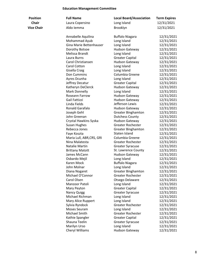### **Education Management Committee**

| <b>Position</b>   | <b>Full Name</b>          | <b>Local Board/Association</b> | <b>Term Expires</b> |
|-------------------|---------------------------|--------------------------------|---------------------|
| <b>Chair</b>      | Laura Copersino           | Long Island                    | 12/31/2021          |
| <b>Vice Chair</b> | Aldo Iemma                | Brooklyn                       | 12/31/2021          |
|                   | Annabelle Aquilina        | <b>Buffalo Niagara</b>         | 12/31/2021          |
|                   | Mohammad Ayub             | Long Island                    | 12/31/2021          |
|                   | Gina Marie Bettenhauser   | Long Island                    | 12/31/2021          |
|                   | Dorothy Botsoe            | <b>Hudson Gateway</b>          | 12/31/2021          |
|                   | Melissa Brandt            | Long Island                    | 12/31/2021          |
|                   | Laura Burns               | <b>Greater Capital</b>         | 12/31/2021          |
|                   | Carol Christiansen        | <b>Hudson Gateway</b>          | 12/31/2021          |
|                   | Carol Cotton              | Long Island                    | 12/31/2021          |
|                   | Gisella Craig             | Long Island                    | 12/31/2021          |
|                   | Don Cummins               | Columbia Greene                | 12/31/2021          |
|                   | Ayres Dcunha              | Long Island                    | 12/31/2021          |
|                   | Jeffrey Decatur           | <b>Greater Capital</b>         | 12/31/2021          |
|                   | Katheryn DeClerck         | <b>Hudson Gateway</b>          | 12/31/2021          |
|                   | Mark Donnelly             | Long Island                    | 12/31/2021          |
|                   | Roseann Farrow            | <b>Hudson Gateway</b>          | 12/31/2021          |
|                   | Gail Fattizzi             | <b>Hudson Gateway</b>          | 12/31/2021          |
|                   | Linda Fields              | Jefferson Lewis                | 12/31/2021          |
|                   | Ronald Garafalo           | <b>Hudson Gateway</b>          | 12/31/2021          |
|                   | Joseph Gehl               | <b>Greater Binghamton</b>      | 12/31/2021          |
|                   | John Greenan              | <b>Dutchess County</b>         | 12/31/2021          |
|                   | Crystal Hawkins Syska     | <b>Hudson Gateway</b>          | 12/31/2021          |
|                   | <b>Susan Hughes</b>       | <b>Greater Rochester</b>       | 12/31/2021          |
|                   | Rebecca Jones             | <b>Greater Binghamton</b>      | 12/31/2021          |
|                   | Faye Koszta               | Staten Island                  | 12/31/2021          |
|                   | Maria Lull, ABR, CRS, GRI | Columbia Greene                | 12/31/2021          |
|                   | Nina Malatesta            | <b>Greater Rochester</b>       | 12/31/2021          |
|                   | Natalie Martin            | <b>Greater Syracuse</b>        | 12/31/2021          |
|                   | <b>Brittany Matott</b>    | St. Lawrence County            | 12/31/2021          |
|                   | James McCann              | <b>Hudson Gateway</b>          | 12/31/2021          |
|                   | Osbardo Mejil             | Long Island                    | 12/31/2021          |
|                   | Karen Mock                | <b>Buffalo Niagara</b>         | 12/31/2021          |
|                   | John Molnar               | Long Island                    | 12/31/2021          |
|                   | Diana Nogaret             | <b>Greater Binghamton</b>      | 12/31/2021          |
|                   | Michael O'Connor          | <b>Greater Rochester</b>       | 12/31/2021          |
|                   | Carol Olsen               | Otsego Delaware                | 12/31/2021          |
|                   | Manzoor Patoli            | Long Island                    | 12/31/2021          |
|                   | Mary Peyton               | <b>Greater Capital</b>         | 12/31/2021          |
|                   | <b>Nancy Quigg</b>        | <b>Greater Syracuse</b>        | 12/31/2021          |
|                   | Michael Richman           | Long Island                    | 12/31/2021          |
|                   | Mary Alice Ruppert        | Long Island                    | 12/31/2021          |
|                   | Sylvia Ryndock            | <b>Greater Rochester</b>       | 12/31/2021          |
|                   | <b>Moses Seuram</b>       | Long Island                    | 12/31/2021          |
|                   | Michael Smith             | Greater Rochester              | 12/31/2021          |
|                   | Kathie Spangler           | <b>Greater Capital</b>         | 12/31/2021          |
|                   | Shauna Teelin             | <b>Greater Syracuse</b>        | 12/31/2021          |
|                   | Marilyn Urso              | Long Island                    | 12/31/2021          |
|                   | Cheryl Williams           | <b>Hudson Gateway</b>          | 12/31/2021          |
|                   |                           |                                |                     |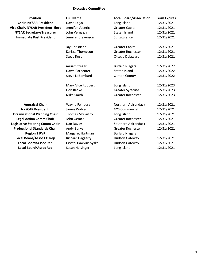#### **Executive Committee**

| <b>Position</b>                          | <b>Full Name</b>        | <b>Local Board/Association</b> | <b>Term Expires</b> |
|------------------------------------------|-------------------------|--------------------------------|---------------------|
| <b>Chair, NYSAR President</b>            | David Legaz             | Long Island                    | 12/31/2021          |
| <b>Vice Chair, NYSAR President-Elect</b> | Jennifer Vucetic        | <b>Greater Capital</b>         | 12/31/2021          |
| <b>NYSAR Secretary/Treasurer</b>         | John Vernazza           | <b>Staten Island</b>           | 12/31/2021          |
| <b>Immediate Past President</b>          | Jennifer Stevenson      | St. Lawrence                   | 12/31/2021          |
|                                          | Jay Christiana          | <b>Greater Capital</b>         | 12/31/2021          |
|                                          | Karissa Thompson        | Greater Rochester              | 12/31/2021          |
|                                          | <b>Steve Rose</b>       | Otsego Delaware                | 12/31/2021          |
|                                          | miriam treger           | <b>Buffalo Niagara</b>         | 12/31/2022          |
|                                          | Dawn Carpenter          | Staten Island                  | 12/31/2022          |
|                                          | Steve LaBombard         | <b>Clinton County</b>          | 12/31/2022          |
|                                          | Mary Alice Ruppert      | Long Island                    | 12/31/2023          |
|                                          | Don Radke               | <b>Greater Syracuse</b>        | 12/31/2023          |
|                                          | Mike Smith              | <b>Greater Rochester</b>       | 12/31/2023          |
| <b>Appraisal Chair</b>                   | Wayne Feinberg          | Northern Adirondack            | 12/31/2021          |
| <b>NYSCAR President</b>                  | James Walker            | <b>NYS Commercial</b>          | 12/31/2021          |
| <b>Organizational Planning Chair</b>     | Thomas McCarthy         | Long Island                    | 12/31/2021          |
| <b>Legal Action Comm Chair</b>           | John Gerace             | <b>Greater Rochester</b>       | 12/31/2021          |
| <b>Legislative Steering Comm Chair</b>   | Dan Davies              | Southern Adirondack            | 12/31/2021          |
| <b>Professional Standards Chair</b>      | Andy Burke              | Greater Rochester              | 12/31/2021          |
| <b>Region 2 RVP</b>                      | Margaret Hartman        | <b>Buffalo Niagara</b>         |                     |
| <b>Local Board/Assoc EO Rep</b>          | <b>Richard Haggerty</b> | <b>Hudson Gateway</b>          | 12/31/2021          |
| <b>Local Board/Assoc Rep</b>             | Crystal Hawkins Syska   | <b>Hudson Gateway</b>          | 12/31/2021          |
| <b>Local Board/Assoc Rep</b>             | Susan Helsinger         | Long Island                    | 12/31/2021          |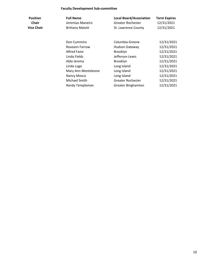### **Faculty Development Sub-committee**

| <b>Position</b> | <b>Full Name</b>       | <b>Local Board/Association</b> | <b>Term Expires</b> |
|-----------------|------------------------|--------------------------------|---------------------|
| <b>Chair</b>    | Jeremias Maneiro       | Greater Rochester              | 12/31/2021          |
| Vice Chair      | <b>Brittany Matott</b> | St. Lawrence County            | 12/31/2021          |

| Don Cummins         | Columbia Greene           | 12/31/2021 |
|---------------------|---------------------------|------------|
| Roseann Farrow      | <b>Hudson Gateway</b>     | 12/31/2021 |
| <b>Alfred Fazio</b> | Brooklyn                  | 12/31/2021 |
| Linda Fields        | Jefferson Lewis           | 12/31/2021 |
| Aldo Iemma          | Brooklyn                  | 12/31/2021 |
| Linda Lugo          | Long Island               | 12/31/2021 |
| Mary Ann Monteleone | Long Island               | 12/31/2021 |
| Nancy Mosca         | Long Island               | 12/31/2021 |
| Michael Smith       | <b>Greater Rochester</b>  | 12/31/2021 |
| Randy Templeman     | <b>Greater Binghamton</b> | 12/31/2021 |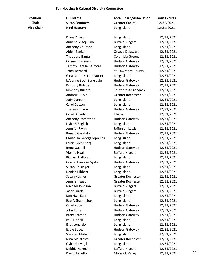#### **Fair Housing & Cultural Diversity Committee**

| <b>Position</b>   | <b>Full Name</b>         | <b>Local Board/Association</b> | <b>Term Expires</b> |    |
|-------------------|--------------------------|--------------------------------|---------------------|----|
| <b>Chair</b>      | <b>Susan Sommers</b>     | <b>Greater Capital</b>         | 12/31/2021          |    |
| <b>Vice Chair</b> | <b>Hind Hatoum</b>       | Long Island                    | 12/31/2021          |    |
|                   | Diana Alfaro             | Long Island                    | 12/31/2021          |    |
|                   | Annabelle Aquilina       | <b>Buffalo Niagara</b>         | 12/31/2021          |    |
|                   | Anthony Atkinson         | Long Island                    | 12/31/2021          |    |
|                   | <b>Alden Banks</b>       | Otsego Delaware                | 12/31/2021          |    |
|                   | Theodore Banta III       | Columbia Greene                | 12/31/2021          |    |
|                   | Carmen Bauman            | Hudson Gateway                 | 12/31/2021          |    |
|                   | Tammy Teresa Belmore     | Hudson Gateway                 | 12/31/2021          |    |
|                   | <b>Tracy Bernard</b>     | St. Lawrence County            | 12/31/2021          |    |
|                   | Gina Marie Bettenhauser  | Long Island                    | 12/31/2021          |    |
|                   | LaVonne Bost-Barksdale   | Hudson Gateway                 | 12/31/2021          |    |
|                   | Dorothy Botsoe           | Hudson Gateway                 | 12/31/2021          |    |
|                   | Kimberly Bullard         | Southern Adirondack            | 12/31/2021          |    |
|                   | <b>Andrew Burke</b>      | <b>Greater Rochester</b>       | 12/31/2021          |    |
|                   | Judy Cangemi             | Long Island                    | 12/31/2021          |    |
|                   | Carol Cotton             | Long Island                    | 12/31/2021          |    |
|                   | <b>Theresa Crozier</b>   | <b>Hudson Gateway</b>          | 12/31/2021          |    |
|                   | Carol DiSanto            | Ithaca                         | 12/31/2021          |    |
|                   | Anthony Domathoti        | <b>Hudson Gateway</b>          | 12/31/2021          |    |
|                   | Lisbeth English          | Long Island                    | 12/31/2021          |    |
|                   | Jennifer Flynn           | Jefferson Lewis                | 12/31/2021          |    |
|                   | Ronald Garafalo          | <b>Hudson Gateway</b>          | 12/31/2021          |    |
|                   | Chrisoula Georgakopoulos | Long Island                    | 12/31/2021          |    |
|                   | Lainie Greenberg         | Long Island                    | 12/31/2021          |    |
|                   | <b>Irene Guanill</b>     | Hudson Gateway                 | 12/31/2021          |    |
|                   | Vienna Haak              | <b>Buffalo Niagara</b>         | 12/31/2021          |    |
|                   | <b>Richard Halloran</b>  | Long Island                    | 12/31/2021          |    |
|                   | Crystal Hawkins Syska    | <b>Hudson Gateway</b>          | 12/31/2021          |    |
|                   | Susan Helsinger          | Long Island                    | 12/31/2021          |    |
|                   | Denise Hibbert           | Long Island                    | 12/31/2021          |    |
|                   | Susan Hughes             | <b>Greater Rochester</b>       | 12/31/2021          |    |
|                   | Jennifer Isaac           | <b>Greater Rochester</b>       | 12/31/2021          |    |
|                   | Michael Johnson          | <b>Buffalo Niagara</b>         | 12/31/2021          |    |
|                   | Jason Jurek              | <b>Buffalo Niagara</b>         | 12/31/2021          |    |
|                   | Kuo Hwa Kao              | Long Island                    | 12/31/2021          |    |
|                   | Rao A Shaan Khan         | Long Island                    | 12/31/2021          |    |
|                   | Carol Kope               | Hudson Gateway                 | 12/31/2021          |    |
|                   | John Kope                | Hudson Gateway                 | 12/31/2021          |    |
|                   | <b>Barry Kramer</b>      | <b>Hudson Gateway</b>          | 12/31/2021          |    |
|                   | Paul Llobell             | Long Island                    | 12/31/2021          |    |
|                   | Eliot Lonardo            | Long Island                    | 12/31/2021          |    |
|                   | Eydie Lopez              | Hudson Gateway                 | 12/31/2021          |    |
|                   | Stephan Mahabir          | Long Island                    | 12/31/2021          |    |
|                   | Nina Malatesta           | <b>Greater Rochester</b>       | 12/31/2021          |    |
|                   | Osbardo Mejil            | Long Island                    | 12/31/2021          |    |
|                   | Debbie Norman            | <b>Buffalo Niagara</b>         | 12/31/2021          |    |
|                   | David Paciello           | Mohawk Valley                  | 12/31/2021          | 11 |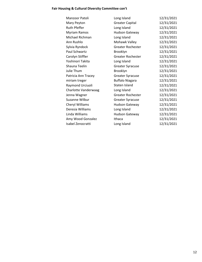### **Fair Housing & Cultural Diversity Committee con't**

| Manzoor Patoli       | Long Island              | 12/31/2021 |
|----------------------|--------------------------|------------|
| Mary Peyton          | <b>Greater Capital</b>   | 12/31/2021 |
| <b>Ruth Pfeffer</b>  | Long Island              | 12/31/2021 |
| Myriam Ramos         | <b>Hudson Gateway</b>    | 12/31/2021 |
| Michael Richman      | Long Island              | 12/31/2021 |
| Ann Rushlo           | Mohawk Valley            | 12/31/2021 |
| Sylvia Ryndock       | <b>Greater Rochester</b> | 12/31/2021 |
| Paul Schwartz        | Brooklyn                 | 12/31/2021 |
| Carolyn Stiffler     | <b>Greater Rochester</b> | 12/31/2021 |
| Yoshinori Takita     | Long Island              | 12/31/2021 |
| Shauna Teelin        | <b>Greater Syracuse</b>  | 12/31/2021 |
| Julie Thum           | Brooklyn                 | 12/31/2021 |
| Patricia Ann Tracey  | <b>Greater Syracuse</b>  | 12/31/2021 |
| miriam treger        | <b>Buffalo Niagara</b>   | 12/31/2021 |
| Raymond Urciuoli     | Staten Island            | 12/31/2021 |
| Charlotte Vanderwaag | Long Island              | 12/31/2021 |
| Jenna Wagner         | <b>Greater Rochester</b> | 12/31/2021 |
| Suzanne Wilbur       | <b>Greater Syracuse</b>  | 12/31/2021 |
| Cheryl Williams      | <b>Hudson Gateway</b>    | 12/31/2021 |
| Deresia Williams     | Long Island              | 12/31/2021 |
| Linda Williams       | <b>Hudson Gateway</b>    | 12/31/2021 |
| Amy Wood Gonzalez    | Ithaca                   | 12/31/2021 |
| Isabel Zenocratti    | Long Island              | 12/31/2021 |
|                      |                          |            |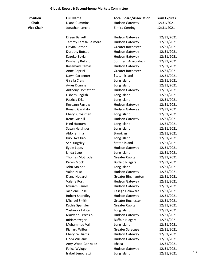### **Global, Resort & Second-home Markets Committee**

| <b>Position</b>   | <b>Full Name</b>       | <b>Local Board/Association</b> | <b>Term Expires</b> |    |
|-------------------|------------------------|--------------------------------|---------------------|----|
| <b>Chair</b>      | <b>Diane Cummins</b>   | <b>Hudson Gateway</b>          | 12/31/2021          |    |
| <b>Vice Chair</b> | Jonathan Lerche        | <b>Elmira Corning</b>          | 12/31/2021          |    |
|                   |                        |                                |                     |    |
|                   | Eileen Barrett         | <b>Hudson Gateway</b>          | 12/31/2021          |    |
|                   | Tammy Teresa Belmore   | <b>Hudson Gateway</b>          | 12/31/2021          |    |
|                   | Elayna Bittner         | <b>Greater Rochester</b>       | 12/31/2021          |    |
|                   | Dorothy Botsoe         | <b>Hudson Gateway</b>          | 12/31/2021          |    |
|                   | Kazuko Boylan          | <b>Hudson Gateway</b>          | 12/31/2021          |    |
|                   | Kimberly Bullard       | Southern Adirondack            | 12/31/2021          |    |
|                   | <b>Rosemary Camas</b>  | <b>Hudson Gateway</b>          | 12/31/2021          |    |
|                   | Anne Caprini           | <b>Greater Rochester</b>       | 12/31/2021          |    |
|                   | Dawn Carpenter         | Staten Island                  | 12/31/2021          |    |
|                   | Gisella Craig          | Long Island                    | 12/31/2021          |    |
|                   | Ayres Dcunha           | Long Island                    | 12/31/2021          |    |
|                   | Anthony Domathoti      | <b>Hudson Gateway</b>          | 12/31/2021          |    |
|                   | Lisbeth English        | Long Island                    | 12/31/2021          |    |
|                   | Patricia Erker         | Long Island                    | 12/31/2021          |    |
|                   | Roseann Farrow         | <b>Hudson Gateway</b>          | 12/31/2021          |    |
|                   | Ronald Garafalo        | <b>Hudson Gateway</b>          | 12/31/2021          |    |
|                   | Cheryl Grossman        | Long Island                    | 12/31/2021          |    |
|                   | <b>Irene Guanill</b>   | <b>Hudson Gateway</b>          | 12/31/2021          |    |
|                   | <b>Hind Hatoum</b>     | Long Island                    | 12/31/2021          |    |
|                   | Susan Helsinger        | Long Island                    | 12/31/2021          |    |
|                   | Aldo Iemma             | Brooklyn                       | 12/31/2021          |    |
|                   | Kuo Hwa Kao            | Long Island                    | 12/31/2021          |    |
|                   | Sari Kingsley          | Staten Island                  | 12/31/2021          |    |
|                   | Eydie Lopez            | <b>Hudson Gateway</b>          | 12/31/2021          |    |
|                   | Linda Lugo             | Long Island                    | 12/31/2021          |    |
|                   | <b>Thomas McGroder</b> | <b>Greater Capital</b>         | 12/31/2021          |    |
|                   | Karen Mock             | <b>Buffalo Niagara</b>         | 12/31/2021          |    |
|                   | John Molnar            | Long Island                    | 12/31/2021          |    |
|                   | Valon Nikci            | <b>Hudson Gateway</b>          | 12/31/2021          |    |
|                   | Diana Nogaret          | <b>Greater Binghamton</b>      | 12/31/2021          |    |
|                   | Valerie Port           | <b>Hudson Gateway</b>          | 12/31/2021          |    |
|                   | <b>Myriam Ramos</b>    | <b>Hudson Gateway</b>          | 12/31/2021          |    |
|                   | Jacqlene Rose          | Otsego Delaware                | 12/31/2021          |    |
|                   | <b>Robert Shandley</b> | <b>Hudson Gateway</b>          | 12/31/2021          |    |
|                   | Michael Smith          | Greater Rochester              | 12/31/2021          |    |
|                   | Kathie Spangler        | <b>Greater Capital</b>         | 12/31/2021          |    |
|                   | Yoshinori Takita       | Long Island                    | 12/31/2021          |    |
|                   | Maryann Tercasio       | <b>Hudson Gateway</b>          | 12/31/2021          |    |
|                   | miriam treger          | <b>Buffalo Niagara</b>         | 12/31/2021          |    |
|                   | Muhammad Vali          | Long Island                    | 12/31/2021          |    |
|                   | Richard Wilbur         | <b>Greater Syracuse</b>        | 12/31/2021          |    |
|                   | Cheryl Williams        | <b>Hudson Gateway</b>          | 12/31/2021          |    |
|                   | Linda Williams         |                                |                     |    |
|                   |                        | <b>Hudson Gateway</b>          | 12/31/2021          |    |
|                   | Amy Wood Gonzalez      | Ithaca                         | 12/31/2021          |    |
|                   | Felice Wyloge          | <b>Hudson Gateway</b>          | 12/31/2021          | 13 |
|                   | Isabel Zenocratti      | Long Island                    | 12/31/2021          |    |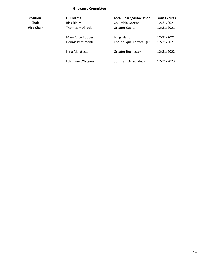#### **Grievance Committee**

| <b>Position</b> | <b>Full Name</b>                        | <b>Local Board/Association</b>        | <b>Term Expires</b>      |
|-----------------|-----------------------------------------|---------------------------------------|--------------------------|
| <b>Chair</b>    | <b>Rick Rielly</b>                      | Columbia Greene                       | 12/31/2021               |
| Vice Chair      | <b>Thomas McGroder</b>                  | <b>Greater Capital</b>                | 12/31/2021               |
|                 | Mary Alice Ruppert<br>Dennis Pezzimenti | Long Island<br>Chautauqua-Cattaraugus | 12/31/2021<br>12/31/2021 |
|                 | Nina Malatesta                          | Greater Rochester                     | 12/31/2022               |
|                 | Eden Rae Whitaker                       | Southern Adirondack                   | 12/31/2023               |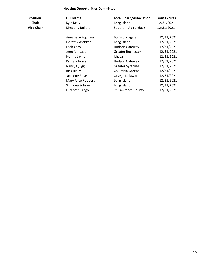### **Housing Opportunities Committee**

| <b>Position</b><br><b>Chair</b> | <b>Full Name</b><br>Kyle Kelly | <b>Local Board/Association</b><br>Long Island | <b>Term Expires</b><br>12/31/2021 |
|---------------------------------|--------------------------------|-----------------------------------------------|-----------------------------------|
|                                 |                                |                                               |                                   |
| <b>Vice Chair</b>               | Kimberly Bullard               | Southern Adirondack                           | 12/31/2021                        |
|                                 |                                |                                               |                                   |
|                                 | Annabelle Aquilina             | <b>Buffalo Niagara</b>                        | 12/31/2021                        |
|                                 | Dorothy Aschkar                | Long Island                                   | 12/31/2021                        |
|                                 | Leah Caro                      | <b>Hudson Gateway</b>                         | 12/31/2021                        |
|                                 | Jennifer Isaac                 | <b>Greater Rochester</b>                      | 12/31/2021                        |
|                                 | Norma Jayne                    | Ithaca                                        | 12/31/2021                        |
|                                 | Pamela Jones                   | <b>Hudson Gateway</b>                         | 12/31/2021                        |
|                                 | Nancy Quigg                    | <b>Greater Syracuse</b>                       | 12/31/2021                        |
|                                 | <b>Rick Rielly</b>             | Columbia Greene                               | 12/31/2021                        |
|                                 | Jacqlene Rose                  | Otsego Delaware                               | 12/31/2021                        |
|                                 | Mary Alice Ruppert             | Long Island                                   | 12/31/2021                        |
|                                 | Shiniqua Subran                | Long Island                                   | 12/31/2021                        |
|                                 | Elizabeth Trego                | St. Lawrence County                           | 12/31/2021                        |
|                                 |                                |                                               |                                   |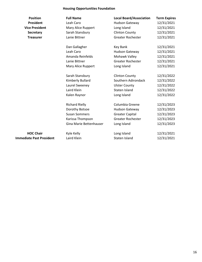### **Housing Opportunities Foundation**

| <b>Position</b>                 | <b>Full Name</b>        | <b>Local Board/Association</b> | <b>Term Expires</b> |
|---------------------------------|-------------------------|--------------------------------|---------------------|
| <b>President</b>                | Leah Caro               | <b>Hudson Gateway</b>          | 12/31/2021          |
| <b>Vice President</b>           | Mary Alice Ruppert      | Long Island                    | 12/31/2021          |
| Secretary                       | Sarah Stansbury         | <b>Clinton County</b>          | 12/31/2021          |
| <b>Treasurer</b>                | Lanie Bittner           | <b>Greater Rochester</b>       | 12/31/2021          |
|                                 |                         |                                |                     |
|                                 | Dan Gallagher           | Key Bank                       | 12/31/2021          |
|                                 | Leah Caro               | <b>Hudson Gateway</b>          | 12/31/2021          |
|                                 | Amanda Reinfelds        | Mohawk Valley                  | 12/31/2021          |
|                                 | Lanie Bittner           | <b>Greater Rochester</b>       | 12/31/2021          |
|                                 | Mary Alice Ruppert      | Long Island                    | 12/31/2021          |
|                                 | Sarah Stansbury         | <b>Clinton County</b>          | 12/31/2022          |
|                                 | Kimberly Bullard        | Southern Adirondack            | 12/31/2022          |
|                                 | Laurel Sweeney          | <b>Ulster County</b>           | 12/31/2022          |
|                                 | Laird Klein             | Staten Island                  | 12/31/2022          |
|                                 | Kalen Raynor            | Long Island                    | 12/31/2022          |
|                                 | <b>Richard Rielly</b>   | Columbia Greene                | 12/31/2023          |
|                                 | Dorothy Botsoe          | <b>Hudson Gateway</b>          | 12/31/2023          |
|                                 | <b>Susan Sommers</b>    | <b>Greater Capital</b>         | 12/31/2023          |
|                                 | Karissa Thompson        | <b>Greater Rochester</b>       | 12/31/2023          |
|                                 | Gina Marie Bettenhauser | Long Island                    | 12/31/2023          |
| <b>HOC Chair</b>                | Kyle Kelly              | Long Island                    | 12/31/2021          |
| <b>Immediate Past President</b> | Laird Klein             | Staten Island                  | 12/31/2021          |
|                                 |                         |                                |                     |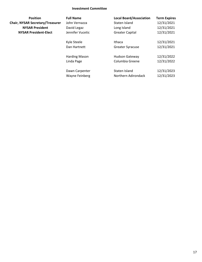#### **Investment Committee**

| <b>Position</b>                         | <b>Full Name</b> |
|-----------------------------------------|------------------|
| <b>Chair, NYSAR Secretary/Treasurer</b> | John Vernazza    |
| <b>NYSAR President</b>                  | David Legaz      |
| <b>NYSAR President-Elect</b>            | Jennifer Vucetic |
|                                         |                  |
|                                         | Kyle Steele      |

| <b>Position</b>                  | <b>Full Name</b>      | <b>Local Board/Association</b> | <b>Term Expires</b> |
|----------------------------------|-----------------------|--------------------------------|---------------------|
| <b>NYSAR Secretary/Treasurer</b> | John Vernazza         | Staten Island                  | 12/31/2021          |
| <b>NYSAR President</b>           | David Legaz           | Long Island                    | 12/31/2021          |
| <b>NYSAR President-Elect</b>     | Jennifer Vucetic      | <b>Greater Capital</b>         | 12/31/2021          |
|                                  | Kyle Steele           | Ithaca                         | 12/31/2021          |
|                                  | Dan Hartnett          | <b>Greater Syracuse</b>        | 12/31/2021          |
|                                  | Harding Mason         | <b>Hudson Gateway</b>          | 12/31/2022          |
|                                  | Linda Page            | Columbia Greene                | 12/31/2022          |
|                                  | Dawn Carpenter        | Staten Island                  | 12/31/2023          |
|                                  | <b>Wayne Feinberg</b> | Northern Adirondack            | 12/31/2023          |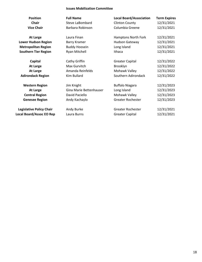#### **Issues Mobilization Committee**

| <b>Position</b><br><b>Chair</b><br><b>Vice Chair</b> | <b>Full Name</b><br>Steve LaBombard<br>Barbara Robinson | <b>Local Board/Association</b><br><b>Clinton County</b><br>Columbia Greene | <b>Term Expires</b><br>12/31/2021<br>12/31/2021 |
|------------------------------------------------------|---------------------------------------------------------|----------------------------------------------------------------------------|-------------------------------------------------|
| <b>At Large</b>                                      | Laura Finan                                             | Hamptons North Fork                                                        | 12/31/2021                                      |
| <b>Lower Hudson Region</b>                           | Barry Kramer                                            | <b>Hudson Gateway</b>                                                      | 12/31/2021                                      |
| <b>Metropolitan Region</b>                           | <b>Buddy Hoosein</b>                                    | Long Island                                                                | 12/31/2021                                      |
| <b>Southern Tier Region</b>                          | Ryan Mitchell                                           | Ithaca                                                                     | 12/31/2021                                      |
| Capital                                              | Cathy Griffin                                           | <b>Greater Capital</b>                                                     | 12/31/2022                                      |
| <b>At Large</b>                                      | Max Gurvitch                                            | Brooklyn                                                                   | 12/31/2022                                      |
| <b>At Large</b>                                      | Amanda Reinfelds                                        | Mohawk Valley                                                              | 12/31/2022                                      |
| <b>Adirondack Region</b>                             | Kim Bullard                                             | Southern Adirondack                                                        | 12/31/2022                                      |
| <b>Western Region</b>                                | Jim Knight                                              | <b>Buffalo Niagara</b>                                                     | 12/31/2023                                      |
| <b>At Large</b>                                      | Gina Marie Bettenhauser                                 | Long Island                                                                | 12/31/2023                                      |
| <b>Central Region</b>                                | David Paciello                                          | Mohawk Valley                                                              | 12/31/2023                                      |
| <b>Genesee Region</b>                                | Andy Kachaylo                                           | <b>Greater Rochester</b>                                                   | 12/31/2023                                      |
| <b>Legislative Policy Chair</b>                      | Andy Burke                                              | <b>Greater Rochester</b>                                                   | 12/31/2021                                      |
| <b>Local Board/Assoc EO Rep</b>                      | Laura Burns                                             | <b>Greater Capital</b>                                                     | 12/31/2021                                      |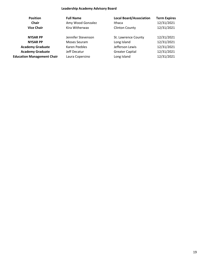### **Leadership Academy Advisory Board**

| <b>Position</b>                   | <b>Full Name</b>   | <b>Local Board/Association</b> | <b>Term Expires</b> |
|-----------------------------------|--------------------|--------------------------------|---------------------|
| <b>Chair</b>                      | Amy Wood Gonzalez  | Ithaca                         | 12/31/2021          |
| <b>Vice Chair</b>                 | Kira Witherwax     | <b>Clinton County</b>          | 12/31/2021          |
| <b>NYSAR PP</b>                   | Jennifer Stevenson | St. Lawrence County            | 12/31/2021          |
| <b>NYSAR PP</b>                   | Moses Seuram       | Long Island                    | 12/31/2021          |
| <b>Academy Graduate</b>           | Karen Peebles      | Jefferson Lewis                | 12/31/2021          |
| <b>Academy Graduate</b>           | Jeff Decatur       | <b>Greater Capital</b>         | 12/31/2021          |
| <b>Education Management Chair</b> | Laura Copersino    | Long Island                    | 12/31/2021          |
|                                   |                    |                                |                     |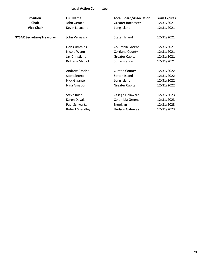### **Legal Action Committee**

| <b>Position</b>                  | <b>Full Name</b>       | <b>Local Board/Association</b> | <b>Term Expires</b> |
|----------------------------------|------------------------|--------------------------------|---------------------|
| <b>Chair</b>                     | John Gerace            | Greater Rochester              | 12/31/2021          |
| <b>Vice Chair</b>                | Kevin Loiacono         | Long Island                    | 12/31/2021          |
| <b>NYSAR Secretary/Treasurer</b> | John Vernazza          | Staten Island                  | 12/31/2021          |
|                                  | Don Cummins            | Columbia Greene                | 12/31/2021          |
|                                  | Nicole Wynn            | <b>Cortland County</b>         | 12/31/2021          |
|                                  | Jay Christiana         | <b>Greater Capital</b>         | 12/31/2021          |
|                                  | <b>Brittany Matott</b> | St. Lawrence                   | 12/31/2021          |
|                                  | <b>Andrew Castine</b>  | <b>Clinton County</b>          | 12/31/2022          |
|                                  | Scott Setero           | Staten Island                  | 12/31/2022          |
|                                  | Nick Gigante           | Long Island                    | 12/31/2022          |
|                                  | Nina Amadon            | <b>Greater Capital</b>         | 12/31/2022          |
|                                  | <b>Steve Rose</b>      | Otsego Delaware                | 12/31/2023          |
|                                  | Karen Davala           | Columbia Greene                | 12/31/2023          |
|                                  | Paul Schwartz          | Brooklyn                       | 12/31/2023          |
|                                  | Robert Shandley        | <b>Hudson Gateway</b>          | 12/31/2023          |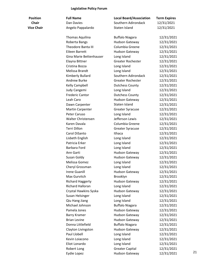### **Legislative Policy Forum**

| <b>Position</b>   | <b>Full Name</b>        | <b>Local Board/Association</b> | <b>Term Expires</b> |    |
|-------------------|-------------------------|--------------------------------|---------------------|----|
| <b>Chair</b>      | Dan Davies              | Southern Adirondack            | 12/31/2021          |    |
| <b>Vice Chair</b> | Angelo Pappalardo       | Staten Island                  | 12/31/2021          |    |
|                   | Thomas Aquilina         | <b>Buffalo Niagara</b>         | 12/31/2021          |    |
|                   | Roberta Bangs           | <b>Hudson Gateway</b>          | 12/31/2021          |    |
|                   | Theodore Banta III      | Columbia Greene                | 12/31/2021          |    |
|                   | <b>Eileen Barrett</b>   | Hudson Gateway                 | 12/31/2021          |    |
|                   | Gina Marie Bettenhauser | Long Island                    | 12/31/2021          |    |
|                   | Elayna Bittner          | <b>Greater Rochester</b>       | 12/31/2021          |    |
|                   | Cristina Bozza          | Long Island                    | 12/31/2021          |    |
|                   | Melissa Brandt          | Long Island                    | 12/31/2021          |    |
|                   | Kimberly Bullard        | Southern Adirondack            | 12/31/2021          |    |
|                   | <b>Andrew Burke</b>     | <b>Greater Rochester</b>       | 12/31/2021          |    |
|                   | Kelly Campbell          | <b>Dutchess County</b>         | 12/31/2021          |    |
|                   | Judy Cangemi            | Long Island                    | 12/31/2021          |    |
|                   | <b>Frederic Cantor</b>  | <b>Dutchess County</b>         | 12/31/2021          |    |
|                   | Leah Caro               | Hudson Gateway                 | 12/31/2021          |    |
|                   | Dawn Carpenter          | Staten Island                  | 12/31/2021          |    |
|                   | <b>Martin Carpenter</b> | <b>Greater Syracuse</b>        | 12/31/2021          |    |
|                   | Peter Caruso            | Long Island                    | 12/31/2021          |    |
|                   | Walter Christensen      | Jefferson Lewis                | 12/31/2021          |    |
|                   | Karen Davala            | Columbia Greene                | 12/31/2021          |    |
|                   | <b>Terri Dillon</b>     | <b>Greater Syracuse</b>        | 12/31/2021          |    |
|                   | Carol DiSanto           | Ithaca                         | 12/31/2021          |    |
|                   | Lisbeth English         | Long Island                    | 12/31/2021          |    |
|                   | Patricia Erker          | Long Island                    | 12/31/2021          |    |
|                   | Barbara Ford            | Long Island                    | 12/31/2021          |    |
|                   | Ann Garti               | Hudson Gateway                 | 12/31/2021          |    |
|                   | Susan Goldy             | Hudson Gateway                 | 12/31/2021          |    |
|                   | Melissa Gomez           | Long Island                    | 12/31/2021          |    |
|                   | Cheryl Grossman         | Long Island                    | 12/31/2021          |    |
|                   | <b>Irene Guanill</b>    | Hudson Gateway                 | 12/31/2021          |    |
|                   | Max Gurvitch            | Brooklyn                       | 12/31/2021          |    |
|                   | <b>Richard Haggerty</b> | Hudson Gateway                 | 12/31/2021          |    |
|                   | <b>Richard Halloran</b> | Long Island                    | 12/31/2021          |    |
|                   | Crystal Hawkins Syska   | Hudson Gateway                 | 12/31/2021          |    |
|                   | Susan Helsinger         | Long Island                    | 12/31/2021          |    |
|                   | Qiu Hang Jiang          | Long Island                    | 12/31/2021          |    |
|                   | Michael Johnson         | <b>Buffalo Niagara</b>         | 12/31/2021          |    |
|                   | Pamela Jones            | Hudson Gateway                 | 12/31/2021          |    |
|                   | <b>Barry Kramer</b>     | <b>Hudson Gateway</b>          | 12/31/2021          |    |
|                   | <b>Brian Levine</b>     | Hudson Gateway                 | 12/31/2021          |    |
|                   | Donna Littlefield       | <b>Buffalo Niagara</b>         | 12/31/2021          |    |
|                   | Clayton Livingston      | Hudson Gateway                 | 12/31/2021          |    |
|                   | Paul Llobell            | Long Island                    | 12/31/2021          |    |
|                   | Kevin Loiacono          | Long Island                    | 12/31/2021          |    |
|                   | Eliot Lonardo           | Long Island                    | 12/31/2021          |    |
|                   | Robert Long             | <b>Greater Capital</b>         | 12/31/2021          |    |
|                   | Eydie Lopez             | Hudson Gateway                 | 12/31/2021          | 21 |
|                   |                         |                                |                     |    |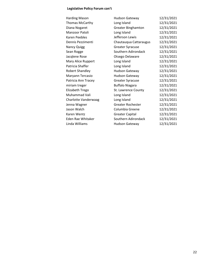### **Legislative Policy Forum con't**

| <b>Harding Mason</b>   | <b>Hudson Gateway</b>     | 12/31/2021 |
|------------------------|---------------------------|------------|
| Thomas McCarthy        | Long Island               | 12/31/2021 |
| Diana Nogaret          | <b>Greater Binghamton</b> | 12/31/2021 |
| Manzoor Patoli         | Long Island               | 12/31/2021 |
| Karen Peebles          | Jefferson Lewis           | 12/31/2021 |
| Dennis Pezzimenti      | Chautauqua Cattaraugus    | 12/31/2021 |
| <b>Nancy Quigg</b>     | <b>Greater Syracuse</b>   | 12/31/2021 |
| Sean Rogge             | Southern Adirondack       | 12/31/2021 |
| Jacqlene Rose          | Otsego Delaware           | 12/31/2021 |
| Mary Alice Ruppert     | Long Island               | 12/31/2021 |
| Patricia Shaffer       | Long Island               | 12/31/2021 |
| <b>Robert Shandley</b> | Hudson Gateway            | 12/31/2021 |
| Maryann Tercasio       | Hudson Gateway            | 12/31/2021 |
| Patricia Ann Tracey    | <b>Greater Syracuse</b>   | 12/31/2021 |
| miriam treger          | <b>Buffalo Niagara</b>    | 12/31/2021 |
| Elizabeth Trego        | St. Lawrence County       | 12/31/2021 |
| Muhammad Vali          | Long Island               | 12/31/2021 |
| Charlotte Vanderwaag   | Long Island               | 12/31/2021 |
| Jenna Wagner           | <b>Greater Rochester</b>  | 12/31/2021 |
| Jason Walch            | Columbia Greene           | 12/31/2021 |
| Karen Wentz            | <b>Greater Capital</b>    | 12/31/2021 |
| Eden Rae Whitaker      | Southern Adirondack       | 12/31/2021 |
| Linda Williams         | Hudson Gateway            | 12/31/2021 |
|                        |                           |            |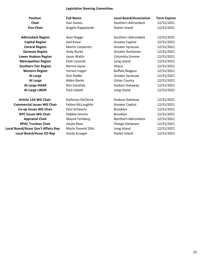#### **Legislative Steering Committee**

**Position Full Name Local Board/Association Term Expires Chair Chair** Dan Davies **Chair** Southern Adirondack 12/31/2021 **Vice Chair Angelo Pappalardo** Staten Island 12/31/2021 **Adirondack Region** Sean Rogge Southern Adirondack 12/31/2021 **Capital Region Capital Region Joel Koval <b>Greater Capital** 12/31/2021 **Central Region** Martin Carpenter Greater Syracuse 12/31/2021 **Genesee Region** Andy Burke **Greater Rochester** 12/31/2021 **Lower Hudson Region** Jason Walch Columbia Greene 12/31/2021 **Metropolitan Region** Eliot Lonardo Long Island 12/31/2021 **Southern Tier Region Norma Jayne Ithaca I2/31/2021** Western Region **miriam treger** Buffalo Niagara 12/31/2021 **At Large Con Radke Conserver Conserver Conserver Conserver Syracuse** 12/31/2021 **At Large** Alden Banks Ulster County 12/31/2021 At Large HGAR Ron Garafalo **Hudson Gateway** 12/31/2021 At Large LIBOR **Paul Llobell** Long Island 12/31/2021 **Article 12A WG Chair Katheryn DeClerck** Hudson Gateway 12/31/2021 **Commercial Issues WG Chair** Felton McLaughlin Greater Capital 12/31/2021 **Co-op Issues WG Chair** Paul Schwartz **Brooklyn** Brooklyn 12/31/2021 **NYC Issues WG Chair Debbie Iemma** Brooklyn **Brooklyn** 12/31/2021 **Appraisal Chair Mayne Feinberg Northern Adirondack** 12/31/2021 **RPAC Trustees Chair** Jacqie Rose **Otsego Delaware** 12/31/2021 **Local Board/Assoc Gov't Affairs Rep** Marlo Paventi Dilts Long Island 12/31/2021 **Local Board/Assoc EO Rep** Sandy Krueger Staten Island 12/31/2021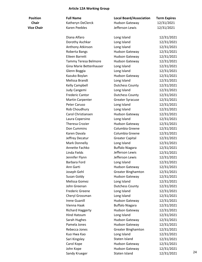### **Article 12A Working Group**

| <b>Position</b>   | <b>Full Name</b>        | <b>Local Board/Association</b> | <b>Term Expires</b> |    |
|-------------------|-------------------------|--------------------------------|---------------------|----|
| <b>Chair</b>      | Katheryn DeClerck       | <b>Hudson Gateway</b>          | 12/31/2021          |    |
| <b>Vice Chair</b> | Karen Peebles           | Jefferson Lewis                | 12/31/2021          |    |
|                   | Diana Alfaro            | Long Island                    | 12/31/2021          |    |
|                   |                         |                                |                     |    |
|                   | Dorothy Aschkar         | Long Island                    | 12/31/2021          |    |
|                   | Anthony Atkinson        | Long Island                    | 12/31/2021          |    |
|                   | Roberta Bangs           | <b>Hudson Gateway</b>          | 12/31/2021          |    |
|                   | Eileen Barrett          | <b>Hudson Gateway</b>          | 12/31/2021          |    |
|                   | Tammy Teresa Belmore    | <b>Hudson Gateway</b>          | 12/31/2021          |    |
|                   | Gina Marie Bettenhauser | Long Island                    | 12/31/2021          |    |
|                   | Glenn Boggia            | Long Island                    | 12/31/2021          |    |
|                   | Kazuko Boylan           | <b>Hudson Gateway</b>          | 12/31/2021          |    |
|                   | Melissa Brandt          | Long Island                    | 12/31/2021          |    |
|                   | Kelly Campbell          | <b>Dutchess County</b>         | 12/31/2021          |    |
|                   | Judy Cangemi            | Long Island                    | 12/31/2021          |    |
|                   | <b>Frederic Cantor</b>  | <b>Dutchess County</b>         | 12/31/2021          |    |
|                   | <b>Martin Carpenter</b> | <b>Greater Syracuse</b>        | 12/31/2021          |    |
|                   | Peter Caruso            | Long Island                    | 12/31/2021          |    |
|                   | Rob Choudhury           | Long Island                    | 12/31/2021          |    |
|                   | Carol Christiansen      | <b>Hudson Gateway</b>          | 12/31/2021          |    |
|                   | Laura Copersino         | Long Island                    | 12/31/2021          |    |
|                   | <b>Theresa Crozier</b>  | <b>Hudson Gateway</b>          | 12/31/2021          |    |
|                   | Don Cummins             | Columbia Greene                | 12/31/2021          |    |
|                   | Karen Davala            | Columbia Greene                | 12/31/2021          |    |
|                   | Jeffrey Decatur         | <b>Greater Capital</b>         | 12/31/2021          |    |
|                   | Mark Donnelly           | Long Island                    | 12/31/2021          |    |
|                   | Annette Fachko          | <b>Buffalo Niagara</b>         | 12/31/2021          |    |
|                   | Linda Fields            | Jefferson Lewis                | 12/31/2021          |    |
|                   | Jennifer Flynn          | Jefferson Lewis                | 12/31/2021          |    |
|                   | <b>Barbara Ford</b>     | Long Island                    | 12/31/2021          |    |
|                   | Ann Garti               | <b>Hudson Gateway</b>          | 12/31/2021          |    |
|                   | Joseph Gehl             | <b>Greater Binghamton</b>      | 12/31/2021          |    |
|                   | Susan Goldy             | <b>Hudson Gateway</b>          | 12/31/2021          |    |
|                   | Melissa Gomez           | Long Island                    | 12/31/2021          |    |
|                   | John Greenan            | <b>Dutchess County</b>         | 12/31/2021          |    |
|                   | <b>Frederic Greene</b>  | Long Island                    | 12/31/2021          |    |
|                   | Cheryl Grossman         | Long Island                    | 12/31/2021          |    |
|                   | <b>Irene Guanill</b>    | <b>Hudson Gateway</b>          | 12/31/2021          |    |
|                   | Vienna Haak             | <b>Buffalo Niagara</b>         | 12/31/2021          |    |
|                   | <b>Richard Haggerty</b> | <b>Hudson Gateway</b>          | 12/31/2021          |    |
|                   | <b>Hind Hatoum</b>      | Long Island                    | 12/31/2021          |    |
|                   | Sarah Hughes            | <b>Hudson Gateway</b>          | 12/31/2021          |    |
|                   | Pamela Jones            | <b>Hudson Gateway</b>          | 12/31/2021          |    |
|                   | Rebecca Jones           | <b>Greater Binghamton</b>      | 12/31/2021          |    |
|                   | Kuo Hwa Kao             | Long Island                    | 12/31/2021          |    |
|                   | Sari Kingsley           | Staten Island                  | 12/31/2021          |    |
|                   | Carol Kope              | Hudson Gateway                 | 12/31/2021          |    |
|                   |                         |                                |                     |    |
|                   | John Kope               | <b>Hudson Gateway</b>          | 12/31/2021          | 24 |
|                   | Sandy Krueger           | Staten Island                  | 12/31/2021          |    |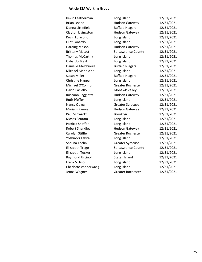### **Article 12A Working Group**

| Kevin Leatherman        | Long Island              | 12/31/2021 |
|-------------------------|--------------------------|------------|
| <b>Brian Levine</b>     | <b>Hudson Gateway</b>    | 12/31/2021 |
| Donna Littlefield       | <b>Buffalo Niagara</b>   | 12/31/2021 |
| Clayton Livingston      | <b>Hudson Gateway</b>    | 12/31/2021 |
| Kevin Loiacono          | Long Island              | 12/31/2021 |
| Eliot Lonardo           | Long Island              | 12/31/2021 |
| <b>Harding Mason</b>    | <b>Hudson Gateway</b>    | 12/31/2021 |
| <b>Brittany Matott</b>  | St. Lawrence County      | 12/31/2021 |
| Thomas McCarthy         | Long Island              | 12/31/2021 |
| Osbardo Mejil           | Long Island              | 12/31/2021 |
| Danielle Melchiorre     | <b>Buffalo Niagara</b>   | 12/31/2021 |
| Michael Mendicino       | Long Island              | 12/31/2021 |
| Susan Miller            | <b>Buffalo Niagara</b>   | 12/31/2021 |
| Christine Nappa         | Long Island              | 12/31/2021 |
| Michael O'Connor        | <b>Greater Rochester</b> | 12/31/2021 |
| David Paciello          | Mohawk Valley            | 12/31/2021 |
| Roseann Paggiotta       | <b>Hudson Gateway</b>    | 12/31/2021 |
| <b>Ruth Pfeffer</b>     | Long Island              | 12/31/2021 |
| <b>Nancy Quigg</b>      | <b>Greater Syracuse</b>  | 12/31/2021 |
| Myriam Ramos            | <b>Hudson Gateway</b>    | 12/31/2021 |
| Paul Schwartz           | Brooklyn                 | 12/31/2021 |
| Moses Seuram            | Long Island              | 12/31/2021 |
| Patricia Shaffer        | Long Island              | 12/31/2021 |
| <b>Robert Shandley</b>  | <b>Hudson Gateway</b>    | 12/31/2021 |
| Carolyn Stiffler        | <b>Greater Rochester</b> | 12/31/2021 |
| Yoshinori Takita        | Long Island              | 12/31/2021 |
| Shauna Teelin           | <b>Greater Syracuse</b>  | 12/31/2021 |
| Elizabeth Trego         | St. Lawrence County      | 12/31/2021 |
| <b>Elizabeth Tucker</b> | Long Island              | 12/31/2021 |
| Raymond Urciuoli        | Staten Island            | 12/31/2021 |
| Frank S Urso            | Long Island              | 12/31/2021 |
| Charlotte Vanderwaag    | Long Island              | 12/31/2021 |
| Jenna Wagner            | <b>Greater Rochester</b> | 12/31/2021 |
|                         |                          |            |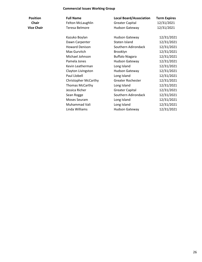### **Commercial Issues Working Group**

| <b>Position</b>   | <b>Full Name</b>      | <b>Local Board/Association</b> | <b>Term Expires</b> |
|-------------------|-----------------------|--------------------------------|---------------------|
| <b>Chair</b>      | Felton McLaughlin     | <b>Greater Capital</b>         | 12/31/2021          |
| <b>Vice Chair</b> | Teresa Belmore        | <b>Hudson Gateway</b>          | 12/31/2021          |
|                   | Kazuko Boylan         | <b>Hudson Gateway</b>          | 12/31/2021          |
|                   | Dawn Carpenter        | Staten Island                  | 12/31/2021          |
|                   | <b>Howard Denison</b> | Southern Adirondack            | 12/31/2021          |

| Chair             | Felton McLaughlin           | Greater Capital        | 12/31/2021 |
|-------------------|-----------------------------|------------------------|------------|
| <b>Vice Chair</b> | Teresa Belmore              | <b>Hudson Gateway</b>  | 12/31/2021 |
|                   | Kazuko Boylan               | <b>Hudson Gateway</b>  | 12/31/2021 |
|                   | Dawn Carpenter              | Staten Island          | 12/31/2021 |
|                   | <b>Howard Denison</b>       | Southern Adirondack    | 12/31/2021 |
|                   | Max Gurvitch                | Brooklyn               | 12/31/2021 |
|                   | Michael Johnson             | <b>Buffalo Niagara</b> | 12/31/2021 |
|                   | Pamela Jones                | <b>Hudson Gateway</b>  | 12/31/2021 |
|                   | Kevin Leatherman            | Long Island            | 12/31/2021 |
|                   | Clayton Livingston          | <b>Hudson Gateway</b>  | 12/31/2021 |
|                   | Paul Llobell                | Long Island            | 12/31/2021 |
|                   | <b>Christopher McCarthy</b> | Greater Rochester      | 12/31/2021 |
|                   | <b>Thomas McCarthy</b>      | Long Island            | 12/31/2021 |
|                   | Jessica Richer              | <b>Greater Capital</b> | 12/31/2021 |
|                   | Sean Rogge                  | Southern Adirondack    | 12/31/2021 |
|                   | Moses Seuram                | Long Island            | 12/31/2021 |
|                   | Muhammad Vali               | Long Island            | 12/31/2021 |
|                   | Linda Williams              | <b>Hudson Gateway</b>  | 12/31/2021 |
|                   |                             |                        |            |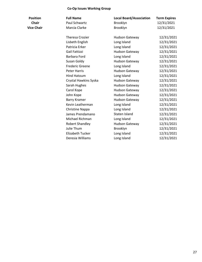### **Co-Op Issues Working Group**

| <b>Position</b>   | <b>Full Name</b>        | <b>Local Board/Association</b> | <b>Term Expires</b> |
|-------------------|-------------------------|--------------------------------|---------------------|
| <b>Chair</b>      | Paul Schwartz           | Brooklyn                       | 12/31/2021          |
| <b>Vice Chair</b> | Marcia Clarke           | Brooklyn                       | 12/31/2021          |
|                   | <b>Theresa Crozier</b>  | <b>Hudson Gateway</b>          | 12/31/2021          |
|                   | Lisbeth English         | Long Island                    | 12/31/2021          |
|                   | Patricia Erker          | Long Island                    | 12/31/2021          |
|                   | Gail Fattizzi           | <b>Hudson Gateway</b>          | 12/31/2021          |
|                   | Barbara Ford            | Long Island                    | 12/31/2021          |
|                   | Susan Goldy             | <b>Hudson Gateway</b>          | 12/31/2021          |
|                   | <b>Frederic Greene</b>  | Long Island                    | 12/31/2021          |
|                   | <b>Peter Harris</b>     | <b>Hudson Gateway</b>          | 12/31/2021          |
|                   | <b>Hind Hatoum</b>      | Long Island                    | 12/31/2021          |
|                   | Crystal Hawkins Syska   | <b>Hudson Gateway</b>          | 12/31/2021          |
|                   | Sarah Hughes            | <b>Hudson Gateway</b>          | 12/31/2021          |
|                   | Carol Kope              | <b>Hudson Gateway</b>          | 12/31/2021          |
|                   | John Kope               | <b>Hudson Gateway</b>          | 12/31/2021          |
|                   | <b>Barry Kramer</b>     | <b>Hudson Gateway</b>          | 12/31/2021          |
|                   | Kevin Leatherman        | Long Island                    | 12/31/2021          |
|                   | Christine Nappa         | Long Island                    | 12/31/2021          |
|                   | James Prendamano        | Staten Island                  | 12/31/2021          |
|                   | Michael Richman         | Long Island                    | 12/31/2021          |
|                   | Robert Shandley         | <b>Hudson Gateway</b>          | 12/31/2021          |
|                   | Julie Thum              | Brooklyn                       | 12/31/2021          |
|                   | <b>Elizabeth Tucker</b> | Long Island                    | 12/31/2021          |
|                   | Deresia Williams        | Long Island                    | 12/31/2021          |
|                   |                         |                                |                     |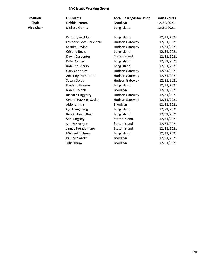#### **NYC Issues Working Group**

| Full Name     |  |
|---------------|--|
| Debbie lemma  |  |
| Melissa Gomez |  |

| <b>Position</b>   | <b>Full Name</b>        | <b>Local Board/Association</b> | <b>Term Expires</b> |
|-------------------|-------------------------|--------------------------------|---------------------|
| <b>Chair</b>      | Debbie Iemma            | Brooklyn                       | 12/31/2021          |
| <b>Vice Chair</b> | Melissa Gomez           | Long Island                    | 12/31/2021          |
|                   | Dorothy Aschkar         | Long Island                    | 12/31/2021          |
|                   | LaVonne Bost-Barksdale  | <b>Hudson Gateway</b>          | 12/31/2021          |
|                   | Kazuko Boylan           | <b>Hudson Gateway</b>          | 12/31/2021          |
|                   | Cristina Bozza          | Long Island                    | 12/31/2021          |
|                   | Dawn Carpenter          | Staten Island                  | 12/31/2021          |
|                   | Peter Caruso            | Long Island                    | 12/31/2021          |
|                   | Rob Choudhury           | Long Island                    | 12/31/2021          |
|                   | <b>Gary Connolly</b>    | <b>Hudson Gateway</b>          | 12/31/2021          |
|                   | Anthony Domathoti       | <b>Hudson Gateway</b>          | 12/31/2021          |
|                   | Susan Goldy             | <b>Hudson Gateway</b>          | 12/31/2021          |
|                   | <b>Frederic Greene</b>  | Long Island                    | 12/31/2021          |
|                   | Max Gurvitch            | Brooklyn                       | 12/31/2021          |
|                   | <b>Richard Haggerty</b> | <b>Hudson Gateway</b>          | 12/31/2021          |
|                   | Crystal Hawkins Syska   | <b>Hudson Gateway</b>          | 12/31/2021          |
|                   | Aldo Iemma              | Brooklyn                       | 12/31/2021          |
|                   | Qiu Hang Jiang          | Long Island                    | 12/31/2021          |
|                   | Rao A Shaan Khan        | Long Island                    | 12/31/2021          |
|                   | Sari Kingsley           | Staten Island                  | 12/31/2021          |
|                   | Sandy Krueger           | Staten Island                  | 12/31/2021          |
|                   | James Prendamano        | Staten Island                  | 12/31/2021          |
|                   | Michael Richman         | Long Island                    | 12/31/2021          |
|                   | Paul Schwartz           | Brooklyn                       | 12/31/2021          |
|                   | Julie Thum              | Brooklyn                       | 12/31/2021          |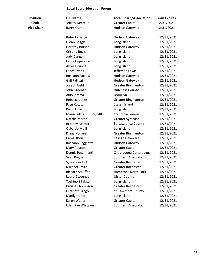#### **Local Board Education Forum**

| <b>Position</b>   | <b>Full Name</b>          | <b>Local Board/Association</b> | <b>Term Expires</b> |
|-------------------|---------------------------|--------------------------------|---------------------|
| <b>Chair</b>      | Jeffrey Decatur           | <b>Greater Capital</b>         | 12/31/2021          |
| <b>Vice Chair</b> | Barry Kramer              | <b>Hudson Gateway</b>          | 12/31/2021          |
|                   | Roberta Bangs             | Hudson Gateway                 | 12/31/2021          |
|                   | Glenn Boggia              | Long Island                    | 12/31/2021          |
|                   | Dorothy Botsoe            | <b>Hudson Gateway</b>          | 12/31/2021          |
|                   | Cristina Bozza            | Long Island                    | 12/31/2021          |
|                   | Judy Cangemi              | Long Island                    | 12/31/2021          |
|                   | Laura Copersino           | Long Island                    | 12/31/2021          |
|                   | Ayres Dcunha              | Long Island                    | 12/31/2021          |
|                   | Lance Evans               | Jefferson Lewis                | 12/31/2021          |
|                   | Roseann Farrow            | <b>Hudson Gateway</b>          | 12/31/2021          |
|                   | Gail Fattizzi             | <b>Hudson Gateway</b>          | 12/31/2021          |
|                   | Joseph Gehl               | <b>Greater Binghamton</b>      | 12/31/2021          |
|                   | John Greenan              | <b>Dutchess County</b>         | 12/31/2021          |
|                   | Aldo Iemma                | Brooklyn                       | 12/31/2021          |
|                   | Rebecca Jones             | <b>Greater Binghamton</b>      | 12/31/2021          |
|                   | Faye Koszta               | Staten Island                  | 12/31/2021          |
|                   | Kevin Loiacono            | Long Island                    | 12/31/2021          |
|                   | Maria Lull, ABR, CRS, GRI | Columbia Greene                | 12/31/2021          |
|                   | Natalie Martin            | <b>Greater Syracuse</b>        | 12/31/2021          |
|                   | <b>Brittany Matott</b>    | St. Lawrence County            | 12/31/2021          |
|                   | Osbardo Mejil             | Long Island                    | 12/31/2021          |
|                   | Diana Nogaret             | <b>Greater Binghamton</b>      | 12/31/2021          |
|                   | Carol Olsen               | Otsego Delaware                | 12/31/2021          |
|                   | Roseann Paggiotta         | <b>Hudson Gateway</b>          | 12/31/2021          |
|                   | Mary Peyton               | <b>Greater Capital</b>         | 12/31/2021          |
|                   | Dennis Pezzimenti         | Chautauqua Cattaraugus         | 12/31/2021          |
|                   | Sean Rogge                | Southern Adirondack            | 12/31/2021          |
|                   | Sylvia Ryndock            | <b>Greater Rochester</b>       | 12/31/2021          |
|                   | Michael Smith             | Greater Rochester              | 12/31/2021          |
|                   | <b>Richard Stauffer</b>   | Hamptons North Fork            | 12/31/2021          |
|                   | Laurel Sweeney            | <b>Ulster County</b>           | 12/31/2021          |
|                   | Yoshinori Takita          | Long Island                    | 12/31/2021          |
|                   | Karissa Thompson          | <b>Greater Rochester</b>       | 12/31/2021          |
|                   | Elizabeth Trego           | St. Lawrence County            | 12/31/2021          |
|                   | Marilyn Urso              | Long Island                    | 12/31/2021          |
|                   | Karen Wentz               | <b>Greater Capital</b>         | 12/31/2021          |
|                   | Eden Rae Whitaker         | Southern Adirondack            | 12/31/2021          |
|                   |                           |                                |                     |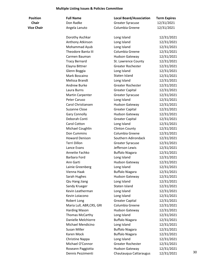#### **Multiple Listing Issues & Policies Committee**

| <b>Full Name</b> |
|------------------|
| Don Radke        |
| Angela Lanuto    |

| <b>Position</b>   | <b>Full Name</b>          | <b>Local Board/Association</b> | <b>Term Expires</b> |    |
|-------------------|---------------------------|--------------------------------|---------------------|----|
| <b>Chair</b>      | Don Radke                 | <b>Greater Syracuse</b>        | 12/31/2021          |    |
| <b>Vice Chair</b> | Angela Lanuto             | Columbia Greene                | 12/31/2021          |    |
|                   | Dorothy Aschkar           | Long Island                    | 12/31/2021          |    |
|                   | Anthony Atkinson          | Long Island                    | 12/31/2021          |    |
|                   | Mohammad Ayub             | Long Island                    | 12/31/2021          |    |
|                   | Theodore Banta III        | Columbia Greene                | 12/31/2021          |    |
|                   | Carmen Bauman             | <b>Hudson Gateway</b>          | 12/31/2021          |    |
|                   | <b>Tracy Bernard</b>      | St. Lawrence County            | 12/31/2021          |    |
|                   | Elayna Bittner            | <b>Greater Rochester</b>       | 12/31/2021          |    |
|                   | Glenn Boggia              | Long Island                    | 12/31/2021          |    |
|                   | Mark Boscaino             | Staten Island                  | 12/31/2021          |    |
|                   | Melissa Brandt            | Long Island                    | 12/31/2021          |    |
|                   | Andrew Burke              | <b>Greater Rochester</b>       | 12/31/2021          |    |
|                   | Laura Burns               | <b>Greater Capital</b>         | 12/31/2021          |    |
|                   | <b>Martin Carpenter</b>   | <b>Greater Syracuse</b>        | 12/31/2021          |    |
|                   | Peter Caruso              | Long Island                    | 12/31/2021          |    |
|                   | Carol Christiansen        | <b>Hudson Gateway</b>          | 12/31/2021          |    |
|                   | <b>Suzanne Close</b>      | <b>Greater Capital</b>         | 12/31/2021          |    |
|                   | <b>Gary Connolly</b>      | <b>Hudson Gateway</b>          | 12/31/2021          |    |
|                   | Deborah Conti             | <b>Greater Capital</b>         | 12/31/2021          |    |
|                   | Carol Cotton              | Long Island                    | 12/31/2021          |    |
|                   | Michael Coughlin          | <b>Clinton County</b>          | 12/31/2021          |    |
|                   | Don Cummins               | Columbia Greene                | 12/31/2021          |    |
|                   | <b>Howard Denison</b>     | Southern Adirondack            | 12/31/2021          |    |
|                   | Terri Dillon              | <b>Greater Syracuse</b>        | 12/31/2021          |    |
|                   | Lance Evans               | Jefferson Lewis                | 12/31/2021          |    |
|                   | Annette Fachko            | <b>Buffalo Niagara</b>         | 12/31/2021          |    |
|                   | <b>Barbara Ford</b>       | Long Island                    | 12/31/2021          |    |
|                   | Ann Garti                 | Hudson Gateway                 | 12/31/2021          |    |
|                   | Lainie Greenberg          | Long Island                    | 12/31/2021          |    |
|                   | Vienna Haak               | <b>Buffalo Niagara</b>         | 12/31/2021          |    |
|                   | Sarah Hughes              | <b>Hudson Gateway</b>          | 12/31/2021          |    |
|                   | Qiu Hang Jiang            | Long Island                    | 12/31/2021          |    |
|                   | Sandy Krueger             | Staten Island                  | 12/31/2021          |    |
|                   | Kevin Leatherman          | Long Island                    | 12/31/2021          |    |
|                   | Kevin Loiacono            | Long Island                    | 12/31/2021          |    |
|                   | Robert Long               | <b>Greater Capital</b>         | 12/31/2021          |    |
|                   | Maria Lull, ABR, CRS, GRI | Columbia Greene                | 12/31/2021          |    |
|                   | <b>Harding Mason</b>      | Hudson Gateway                 | 12/31/2021          |    |
|                   | Thomas McCarthy           | Long Island                    | 12/31/2021          |    |
|                   | Danielle Melchiorre       | <b>Buffalo Niagara</b>         | 12/31/2021          |    |
|                   | Michael Mendicino         | Long Island                    | 12/31/2021          |    |
|                   | Susan Miller              | <b>Buffalo Niagara</b>         | 12/31/2021          |    |
|                   | Karen Mock                | <b>Buffalo Niagara</b>         | 12/31/2021          |    |
|                   | Christine Nappa           | Long Island                    | 12/31/2021          |    |
|                   | Michael O'Connor          | <b>Greater Rochester</b>       | 12/31/2021          |    |
|                   | Roseann Paggiotta         | Hudson Gateway                 | 12/31/2021          |    |
|                   | Dennis Pezzimenti         | Chautauqua Cattaraugus         | 12/31/2021          | 30 |
|                   |                           |                                |                     |    |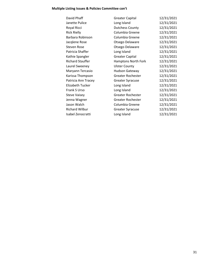### **Multiple Listing Issues & Policies Committee con't**

| David Phaff             | <b>Greater Capital</b>   | 12/31/2021 |
|-------------------------|--------------------------|------------|
| Janette Pulice          | Long Island              | 12/31/2021 |
| Royal Ricci             | <b>Dutchess County</b>   | 12/31/2021 |
| <b>Rick Rielly</b>      | Columbia Greene          | 12/31/2021 |
| Barbara Robinson        | Columbia Greene          | 12/31/2021 |
| Jacqlene Rose           | Otsego Delaware          | 12/31/2021 |
| Steven Rose             | Otsego Delaware          | 12/31/2021 |
| Patricia Shaffer        | Long Island              | 12/31/2021 |
| Kathie Spangler         | <b>Greater Capital</b>   | 12/31/2021 |
| <b>Richard Stauffer</b> | Hamptons North Fork      | 12/31/2021 |
| Laurel Sweeney          | <b>Ulster County</b>     | 12/31/2021 |
| Maryann Tercasio        | <b>Hudson Gateway</b>    | 12/31/2021 |
| Karissa Thompson        | <b>Greater Rochester</b> | 12/31/2021 |
| Patricia Ann Tracey     | <b>Greater Syracuse</b>  | 12/31/2021 |
| <b>Elizabeth Tucker</b> | Long Island              | 12/31/2021 |
| Frank S Urso            | Long Island              | 12/31/2021 |
| <b>Steve Vaisey</b>     | <b>Greater Rochester</b> | 12/31/2021 |
| Jenna Wagner            | Greater Rochester        | 12/31/2021 |
| Jason Walch             | Columbia Greene          | 12/31/2021 |
| <b>Richard Wilbur</b>   | <b>Greater Syracuse</b>  | 12/31/2021 |
| Isabel Zenocratti       | Long Island              | 12/31/2021 |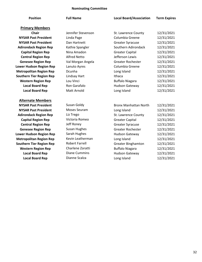### **Nominating Committee**

| <b>Position</b>                 | <b>Full Name</b>      | <b>Local Board/Association</b> | <b>Term Expires</b> |
|---------------------------------|-----------------------|--------------------------------|---------------------|
| <b>Primary Members</b>          |                       |                                |                     |
| <b>Chair</b>                    | Jennifer Stevenson    | St. Lawrence County            | 12/31/2021          |
| <b>NYSAR Past President</b>     | Linda Page            | Columbia Greene                | 12/31/2021          |
| <b>NYSAR Past President</b>     | Dan Hartnett          | <b>Greater Syracuse</b>        | 12/31/2021          |
| <b>Adirondack Region Rep</b>    | Kathie Spangler       | Southern Adirondack            | 12/31/2021          |
| <b>Capital Region Rep</b>       | Nina Amadon           | <b>Greater Capital</b>         | 12/31/2021          |
| <b>Central Region Rep</b>       | <b>Alfred Netto</b>   | Jefferson Lewis                | 12/31/2021          |
| <b>Genesee Region Rep</b>       | Val Morgan Angela     | Greater Rochester              | 12/31/2021          |
| <b>Lower Hudson Region Rep</b>  | Lanuto Ayres          | Columbia Greene                | 12/31/2021          |
| <b>Metropolitan Region Rep</b>  | Dcunha                | Long Island                    | 12/31/2021          |
| <b>Southern Tier Region Rep</b> | Lindsay Hart          | Ithaca                         | 12/31/2021          |
| <b>Western Region Rep</b>       | Lou Vinci             | <b>Buffalo Niagara</b>         | 12/31/2021          |
| <b>Local Board Rep</b>          | Ron Garafalo          | <b>Hudson Gateway</b>          | 12/31/2021          |
| <b>Local Board Rep</b>          | Matt Arnold           | Long Island                    | 12/31/2021          |
| <b>Alternate Members</b>        |                       |                                |                     |
| <b>NYSAR Past President</b>     | Susan Goldy           | <b>Bronx Manhattan North</b>   | 12/31/2021          |
| <b>NYSAR Past President</b>     | Moses Seuram          | Long Island                    | 12/31/2021          |
| <b>Adirondack Region Rep</b>    | Liz Trego             | St. Lawrence County            | 12/31/2021          |
| <b>Capital Region Rep</b>       | Victoria Romeo        | <b>Greater Capital</b>         | 12/31/2021          |
| <b>Central Region Rep</b>       | Jeff Roney            | <b>Greater Syracuse</b>        | 12/31/2021          |
| <b>Genesee Region Rep</b>       | <b>Susan Hughes</b>   | <b>Greater Rochester</b>       | 12/31/2021          |
| <b>Lower Hudson Region Rep</b>  | Sarah Hughes          | <b>Hudson Gateway</b>          | 12/31/2021          |
| <b>Metropolitan Region Rep</b>  | Kevin Leatherman      | Long Island                    | 12/31/2021          |
| <b>Southern Tier Region Rep</b> | <b>Robert Farrell</b> | <b>Greater Binghamton</b>      | 12/31/2021          |
| <b>Western Region Rep</b>       | Charlene Zoratti      | <b>Buffalo Niagara</b>         | 12/31/2021          |
| <b>Local Board Rep</b>          | <b>Diane Cummins</b>  | <b>Hudson Gateway</b>          | 12/31/2021          |
| <b>Local Board Rep</b>          | Dianne Scalza         | Long Island                    | 12/31/2021          |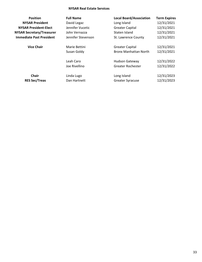#### **NYSAR Real Estate Services**

| <b>Position</b>                  | <b>Full Name</b>   | <b>Local Board/Association</b> | <b>Term Expires</b> |
|----------------------------------|--------------------|--------------------------------|---------------------|
| <b>NYSAR President</b>           | David Legaz        | Long Island                    | 12/31/2021          |
| <b>NYSAR President-Elect</b>     | Jennifer Vucetic   | <b>Greater Capital</b>         | 12/31/2021          |
| <b>NYSAR Secretary/Treasurer</b> | John Vernazza      | Staten Island                  | 12/31/2021          |
| <b>Immediate Past President</b>  | Jennifer Stevenson | St. Lawrence County            | 12/31/2021          |
| <b>Vice Chair</b>                | Marie Bettini      | <b>Greater Capital</b>         | 12/31/2021          |
|                                  | Susan Goldy        | <b>Bronx Manhattan North</b>   | 12/31/2021          |
|                                  | Leah Caro          | <b>Hudson Gateway</b>          | 12/31/2022          |
|                                  | Joe Rivellino      | Greater Rochester              | 12/31/2022          |
| <b>Chair</b>                     | Linda Lugo         | Long Island                    | 12/31/2023          |
| <b>RES Sec/Treas</b>             | Dan Hartnett       | <b>Greater Syracuse</b>        | 12/31/2023          |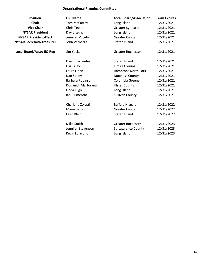### **Organizational Planning Committee**

| <b>Position</b>                  | <b>Full Name</b>    | <b>Local Board/Association</b> | <b>Term Expires</b> |
|----------------------------------|---------------------|--------------------------------|---------------------|
| <b>Chair</b>                     | Tom McCarthy        | Long Island                    | 12/31/2021          |
| <b>Vice Chair</b>                | <b>Chris Teelin</b> | <b>Greater Syracuse</b>        | 12/31/2021          |
| <b>NYSAR President</b>           | David Legaz         | Long Island                    | 12/31/2021          |
| <b>NYSAR President-Elect</b>     | Jennifer Vucetic    | <b>Greater Capital</b>         | 12/31/2021          |
| <b>NYSAR Secretary/Treasurer</b> | John Vernazza       | Staten Island                  | 12/31/2021          |
| <b>Local Board/Assoc EO Rep</b>  | Jim Yockel          | Greater Rochester              | 12/31/2021          |
|                                  | Dawn Carpenter      | Staten Island                  | 12/31/2021          |
|                                  | Lisa Lilley         | <b>Elmira Corning</b>          | 12/31/2021          |
|                                  | Laura Finan         | Hamptons North Fork            | 12/31/2021          |
|                                  | Dan Staley          | <b>Dutchess County</b>         | 12/31/2021          |
|                                  | Barbara Robinson    | Columbia Greene                | 12/31/2021          |
|                                  | Dominick Martorana  | <b>Ulster County</b>           | 12/31/2021          |
|                                  | Linda Lugo          | Long Island                    | 12/31/2021          |
|                                  | Ian Blumenthal      | <b>Sullivan County</b>         | 12/31/2021          |
|                                  | Charlene Zoratti    | <b>Buffalo Niagara</b>         | 12/31/2022          |
|                                  | Marie Bettini       | <b>Greater Capital</b>         | 12/31/2022          |
|                                  | Laird Klein         | Staten Island                  | 12/31/2022          |
|                                  | Mike Smith          | <b>Greater Rochester</b>       | 12/31/2023          |
|                                  | Jennifer Stevenson  | St. Lawrence County            | 12/31/2023          |
|                                  | Kevin Loiacono      | Long Island                    | 12/31/2023          |
|                                  |                     |                                |                     |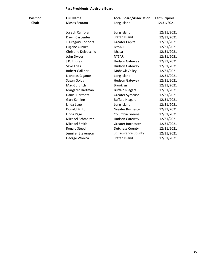### **Past Presidents' Advisory Board**

| Position     | <b>Full Name</b>       | <b>Local Board/Association</b> | <b>Term Expires</b> |
|--------------|------------------------|--------------------------------|---------------------|
| <b>Chair</b> | Moses Seuram           | Long Island                    | 12/31/2021          |
|              | Joseph Canfora         | Long Island                    | 12/31/2021          |
|              | Dawn Carpenter         | Staten Island                  | 12/31/2021          |
|              | J. Gregory Connors     | <b>Greater Capital</b>         | 12/31/2021          |
|              | <b>Eugene Currier</b>  | <b>NYSAR</b>                   | 12/31/2021          |
|              | Christine Delvecchio   | Ithaca                         | 12/31/2021          |
|              | John Dwyer             | <b>NYSAR</b>                   | 12/31/2021          |
|              | J.P. Endres            | <b>Hudson Gateway</b>          | 12/31/2021          |
|              | Savo Fries             | <b>Hudson Gateway</b>          | 12/31/2021          |
|              | <b>Robert Galliher</b> | Mohawk Valley                  | 12/31/2021          |
|              | Nicholas Gigante       | Long Island                    | 12/31/2021          |
|              | Susan Goldy            | <b>Hudson Gateway</b>          | 12/31/2021          |
|              | Max Gurvitch           | Brooklyn                       | 12/31/2021          |
|              | Margaret Hartman       | <b>Buffalo Niagara</b>         | 12/31/2021          |
|              | <b>Daniel Hartnett</b> | <b>Greater Syracuse</b>        | 12/31/2021          |
|              | Gary Kenline           | <b>Buffalo Niagara</b>         | 12/31/2021          |
|              | Linda Lugo             | Long Island                    | 12/31/2021          |
|              | Donald Milton          | <b>Greater Rochester</b>       | 12/31/2021          |
|              | Linda Page             | Columbia Greene                | 12/31/2021          |
|              | Michael Schmelzer      | <b>Hudson Gateway</b>          | 12/31/2021          |
|              | Michael Smith          | Greater Rochester              | 12/31/2021          |
|              | <b>Ronald Steed</b>    | <b>Dutchess County</b>         | 12/31/2021          |
|              | Jennifer Stevenson     | St. Lawrence County            | 12/31/2021          |
|              | George Wonica          | Staten Island                  | 12/31/2021          |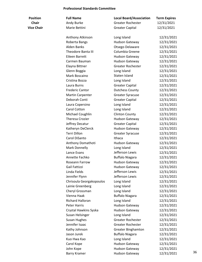#### **Professional Standards Committee**

| <b>Position</b>   | <b>Full Name</b>          | <b>Local Board/Association</b> | <b>Term Expires</b> |    |
|-------------------|---------------------------|--------------------------------|---------------------|----|
| <b>Chair</b>      | Andy Burke                | <b>Greater Rochester</b>       | 12/31/2021          |    |
| <b>Vice Chair</b> | Marie Bettini             | <b>Greater Capital</b>         | 12/31/2021          |    |
|                   | Anthony Atkinson          | Long Island                    | 12/31/2021          |    |
|                   | Roberta Bangs             | <b>Hudson Gateway</b>          | 12/31/2021          |    |
|                   | Alden Banks               | Otsego Delaware                | 12/31/2021          |    |
|                   | <b>Theodore Banta III</b> | Columbia Greene                | 12/31/2021          |    |
|                   | Eileen Barrett            | <b>Hudson Gateway</b>          | 12/31/2021          |    |
|                   | Carmen Bauman             | <b>Hudson Gateway</b>          | 12/31/2021          |    |
|                   | Elayna Bittner            | <b>Greater Rochester</b>       | 12/31/2021          |    |
|                   | Glenn Boggia              | Long Island                    | 12/31/2021          |    |
|                   | Mark Boscaino             | Staten Island                  | 12/31/2021          |    |
|                   | Cristina Bozza            | Long Island                    | 12/31/2021          |    |
|                   | Laura Burns               | <b>Greater Capital</b>         | 12/31/2021          |    |
|                   | <b>Frederic Cantor</b>    | <b>Dutchess County</b>         | 12/31/2021          |    |
|                   | <b>Martin Carpenter</b>   | <b>Greater Syracuse</b>        | 12/31/2021          |    |
|                   | Deborah Conti             | <b>Greater Capital</b>         | 12/31/2021          |    |
|                   | Laura Copersino           | Long Island                    | 12/31/2021          |    |
|                   | Carol Cotton              | Long Island                    | 12/31/2021          |    |
|                   | Michael Coughlin          | <b>Clinton County</b>          | 12/31/2021          |    |
|                   | <b>Theresa Crozier</b>    | <b>Hudson Gateway</b>          | 12/31/2021          |    |
|                   | Jeffrey Decatur           | <b>Greater Capital</b>         | 12/31/2021          |    |
|                   | Katheryn DeClerck         | <b>Hudson Gateway</b>          | 12/31/2021          |    |
|                   | <b>Terri Dillon</b>       | <b>Greater Syracuse</b>        | 12/31/2021          |    |
|                   | Carol DiSanto             | Ithaca                         | 12/31/2021          |    |
|                   | Anthony Domathoti         | <b>Hudson Gateway</b>          | 12/31/2021          |    |
|                   | Mark Donnelly             | Long Island                    | 12/31/2021          |    |
|                   | Lance Evans               | Jefferson Lewis                | 12/31/2021          |    |
|                   | Annette Fachko            | <b>Buffalo Niagara</b>         | 12/31/2021          |    |
|                   | Roseann Farrow            | <b>Hudson Gateway</b>          | 12/31/2021          |    |
|                   | Gail Fattizzi             | <b>Hudson Gateway</b>          | 12/31/2021          |    |
|                   | Linda Fields              | Jefferson Lewis                | 12/31/2021          |    |
|                   | Jennifer Flynn            | Jefferson Lewis                | 12/31/2021          |    |
|                   | Chrisoula Georgakopoulos  | Long Island                    | 12/31/2021          |    |
|                   | Lainie Greenberg          | Long Island                    | 12/31/2021          |    |
|                   | Cheryl Grossman           | Long Island                    | 12/31/2021          |    |
|                   | Vienna Haak               | <b>Buffalo Niagara</b>         | 12/31/2021          |    |
|                   | <b>Richard Halloran</b>   | Long Island                    | 12/31/2021          |    |
|                   | <b>Peter Harris</b>       | <b>Hudson Gateway</b>          | 12/31/2021          |    |
|                   | Crystal Hawkins Syska     | <b>Hudson Gateway</b>          | 12/31/2021          |    |
|                   | Susan Helsinger           | Long Island                    | 12/31/2021          |    |
|                   | <b>Susan Hughes</b>       | <b>Greater Rochester</b>       | 12/31/2021          |    |
|                   | Jennifer Isaac            | Greater Rochester              | 12/31/2021          |    |
|                   | Kathy Johnson             | <b>Greater Binghamton</b>      | 12/31/2021          |    |
|                   | Jason Jurek               | <b>Buffalo Niagara</b>         | 12/31/2021          |    |
|                   | Kuo Hwa Kao               | Long Island                    | 12/31/2021          |    |
|                   | Carol Kope                | <b>Hudson Gateway</b>          | 12/31/2021          |    |
|                   | John Kope                 | <b>Hudson Gateway</b>          | 12/31/2021          |    |
|                   | <b>Barry Kramer</b>       | <b>Hudson Gateway</b>          | 12/31/2021          | 36 |
|                   |                           |                                |                     |    |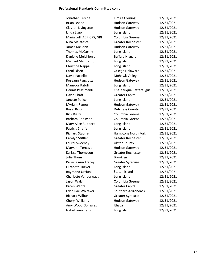#### **Professional Standards Committee con't**

| Jonathan Lerche           | <b>Elmira Corning</b>      | 12/31/2021 |
|---------------------------|----------------------------|------------|
| <b>Brian Levine</b>       | <b>Hudson Gateway</b>      | 12/31/2021 |
| Clayton Livingston        | <b>Hudson Gateway</b>      | 12/31/2021 |
| Linda Lugo                | Long Island                | 12/31/2021 |
| Maria Lull, ABR, CRS, GRI | Columbia Greene            | 12/31/2021 |
| Nina Malatesta            | Greater Rochester          | 12/31/2021 |
| James McCann              | <b>Hudson Gateway</b>      | 12/31/2021 |
| Thomas McCarthy           | Long Island                | 12/31/2021 |
| Danielle Melchiorre       | <b>Buffalo Niagara</b>     | 12/31/2021 |
| Michael Mendicino         | Long Island                | 12/31/2021 |
| Christine Nappa           | Long Island                | 12/31/2021 |
| Carol Olsen               | Otsego Delaware            | 12/31/2021 |
| David Paciello            | Mohawk Valley              | 12/31/2021 |
| Roseann Paggiotta         | <b>Hudson Gateway</b>      | 12/31/2021 |
| Manzoor Patoli            | Long Island                | 12/31/2021 |
| Dennis Pezzimenti         | Chautauqua Cattaraugus     | 12/31/2021 |
| David Phaff               | <b>Greater Capital</b>     | 12/31/2021 |
| Janette Pulice            | Long Island                | 12/31/2021 |
| Myriam Ramos              | <b>Hudson Gateway</b>      | 12/31/2021 |
| Royal Ricci               | <b>Dutchess County</b>     | 12/31/2021 |
| <b>Rick Rielly</b>        | Columbia Greene            | 12/31/2021 |
| Barbara Robinson          | Columbia Greene            | 12/31/2021 |
| Mary Alice Ruppert        | Long Island                | 12/31/2021 |
| Patricia Shaffer          | Long Island                | 12/31/2021 |
| <b>Richard Stauffer</b>   | <b>Hamptons North Fork</b> | 12/31/2021 |
| Carolyn Stiffler          | Greater Rochester          | 12/31/2021 |
| Laurel Sweeney            | <b>Ulster County</b>       | 12/31/2021 |
| Maryann Tercasio          | <b>Hudson Gateway</b>      | 12/31/2021 |
| Karissa Thompson          | Greater Rochester          | 12/31/2021 |
| Julie Thum                | Brooklyn                   | 12/31/2021 |
| Patricia Ann Tracey       | <b>Greater Syracuse</b>    | 12/31/2021 |
| Elizabeth Tucker          | Long Island                | 12/31/2021 |
| Raymond Urciuoli          | Staten Island              | 12/31/2021 |
| Charlotte Vanderwaag      | Long Island                | 12/31/2021 |
| Jason Walch               | Columbia Greene            | 12/31/2021 |
| Karen Wentz               | <b>Greater Capital</b>     | 12/31/2021 |
| <b>Eden Rae Whitaker</b>  | Southern Adirondack        | 12/31/2021 |
| <b>Richard Wilbur</b>     | <b>Greater Syracuse</b>    | 12/31/2021 |
| <b>Cheryl Williams</b>    | <b>Hudson Gateway</b>      | 12/31/2021 |
| Amy Wood Gonzalez         | Ithaca                     | 12/31/2021 |
| Isabel Zenocratti         | Long Island                | 12/31/2021 |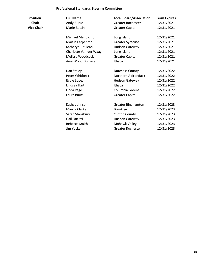### **Professional Standards Steering Committee**

| Position          |
|-------------------|
| Chair             |
| <b>Vice Chair</b> |

| <b>Full Name</b>        | <b>Local Board/Association</b> | <b>Term Expires</b> |
|-------------------------|--------------------------------|---------------------|
| Andy Burke              | <b>Greater Rochester</b>       | 12/31/2021          |
| Marie Bettini           | <b>Greater Capital</b>         | 12/31/2021          |
| Michael Mendicino       | Long Island                    | 12/31/2021          |
| <b>Martin Carpenter</b> | <b>Greater Syracuse</b>        | 12/31/2021          |
| Katheryn DeClerck       | <b>Hudson Gateway</b>          | 12/31/2021          |
| Charlotte Van der Waag  | Long Island                    | 12/31/2021          |
| Melissa Woodcock        | <b>Greater Capital</b>         | 12/31/2021          |
| Amy Wood Gonzalez       | Ithaca                         | 12/31/2021          |
| Dan Staley              | <b>Dutchess County</b>         | 12/31/2022          |
| Peter Whitbeck          | Northern Adirondack            | 12/31/2022          |
| Eydie Lopez             | <b>Hudson Gateway</b>          | 12/31/2022          |
| Lindsay Hart            | Ithaca                         | 12/31/2022          |
| Linda Page              | Columbia Greene                | 12/31/2022          |
| Laura Burns             | <b>Greater Capital</b>         | 12/31/2022          |
| Kathy Johnson           | <b>Greater Binghamton</b>      | 12/31/2023          |
| Marcia Clarke           | Brooklyn                       | 12/31/2023          |
| Sarah Stansbury         | <b>Clinton County</b>          | 12/31/2023          |
| Gail Fattizzi           | Husdon Gateway                 | 12/31/2023          |
| Rebecca Smith           | Mohawk Valley                  | 12/31/2023          |
| Jim Yockel              | <b>Greater Rochester</b>       | 12/31/2023          |
|                         |                                |                     |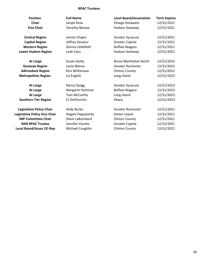#### **RPAC Trustees**

| <b>Position</b>                 | <b>Full Name</b>       | <b>Local Board/Association</b> | <b>Term Expires</b> |
|---------------------------------|------------------------|--------------------------------|---------------------|
| <b>Chair</b>                    | Jacqie Rose            | Otsego Delaware                | 12/31/2021          |
| <b>Vice Chair</b>               | Dorothy Botsoe         | <b>Hudson Gateway</b>          | 12/31/2021          |
| <b>Central Region</b>           | Jennie Chapin          | <b>Greater Syracuse</b>        | 12/31/2021          |
| <b>Capital Region</b>           | Jeffrey Decatur        | <b>Greater Capital</b>         | 12/31/2021          |
| <b>Western Region</b>           | Donna Littlefield      | <b>Buffalo Niagara</b>         | 12/31/2021          |
| <b>Lower Hudson Region</b>      | Leah Caro              | <b>Hudson Gateway</b>          | 12/31/2021          |
| <b>At Large</b>                 | Susan Goldy            | <b>Bronx Manhattan North</b>   | 12/31/2022          |
| <b>Genesee Region</b>           | Lanie Bittner          | <b>Greater Rochester</b>       | 12/31/2022          |
| <b>Adirondack Region</b>        | Kira Witherwax         | <b>Clinton County</b>          | 12/31/2022          |
| <b>Metropolitan Region</b>      | Liz English            | Long Island                    | 12/31/2022          |
| At Large                        | <b>Nancy Quigg</b>     | <b>Greater Syracuse</b>        | 12/31/2023          |
| <b>At Large</b>                 | Margaret Hartman       | <b>Buffalo Niagara</b>         | 12/31/2023          |
| <b>At Large</b>                 | Tom McCarthy           | Long Island                    | 12/31/2023          |
| <b>Southern Tier Region</b>     | CJ DelVecchio          | Ithaca                         | 12/31/2023          |
| <b>Legislative Policy Chair</b> | Andy Burke             | <b>Greater Rochester</b>       | 12/31/2021          |
| Legislative Policy Vice Chair   | Angelo Pappalardo      | Staten Island                  | 12/31/2021          |
| <b>IMF Committee Chair</b>      | <b>Steve LaBombard</b> | <b>Clinton County</b>          | 12/31/2021          |
| <b>NAR RPAC Trustee</b>         | Jennifer Vucetic       | <b>Greater Capital</b>         | 12/31/2021          |
| <b>Local Board/Assoc EO Rep</b> | Michael Coughlin       | <b>Clinton County</b>          | 12/31/2021          |
|                                 |                        |                                |                     |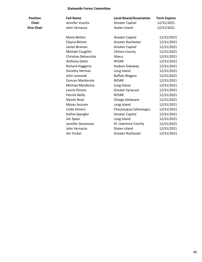#### **Statewide Forms Committee**

| <b>Position</b>   | <b>Full Name</b>        | <b>Local Board/Association</b> | <b>Term Expires</b> |
|-------------------|-------------------------|--------------------------------|---------------------|
| <b>Chair</b>      | Jennifer Vucetic        | <b>Greater Capital</b>         | 12/31/2021          |
| <b>Vice Chair</b> | John Vernazza           | Staten Island                  | 12/31/2021          |
|                   | Marie Bettini           | <b>Greater Capital</b>         | 12/31/2021          |
|                   | Elayna Bittner          | <b>Greater Rochester</b>       | 12/31/2021          |
|                   | James Braman            | <b>Greater Capital</b>         | 12/31/2021          |
|                   | Michael Coughlin        | <b>Clinton County</b>          | 12/31/2021          |
|                   | Christine Delvecchio    | Ithaca                         | 12/31/2021          |
|                   | Anthony Gatto           | <b>NYSAR</b>                   | 12/31/2021          |
|                   | <b>Richard Haggerty</b> | <b>Hudson Gateway</b>          | 12/31/2021          |
|                   | Dorothy Herman          | Long Island                    | 12/31/2021          |
|                   | John Leonardi           | <b>Buffalo Niagara</b>         | 12/31/2021          |
|                   | Duncan MacKenzie        | <b>NYSAR</b>                   | 12/31/2021          |
|                   | Michael Mendicino       | Long Island                    | 12/31/2021          |
|                   | Laurie Omans            | <b>Greater Syracuse</b>        | 12/31/2021          |
|                   | Patrick Reilly          | <b>NYSAR</b>                   | 12/31/2021          |
|                   | <b>Steven Rose</b>      | Otsego Delaware                | 12/31/2021          |
|                   | Moses Seuram            | Long Island                    | 12/31/2021          |
|                   | Linda Simons            | Chautauqua Cattaraugus         | 12/31/2021          |
|                   | Kathie Spangler         | <b>Greater Capital</b>         | 12/31/2021          |
|                   | Jim Speer               | Long Island                    | 12/31/2021          |
|                   | Jennifer Stevenson      | St. Lawrence County            | 12/31/2021          |
|                   | John Vernazza           | Staten Island                  | 12/31/2021          |
|                   | Jim Yockel              | <b>Greater Rochester</b>       | 12/31/2021          |